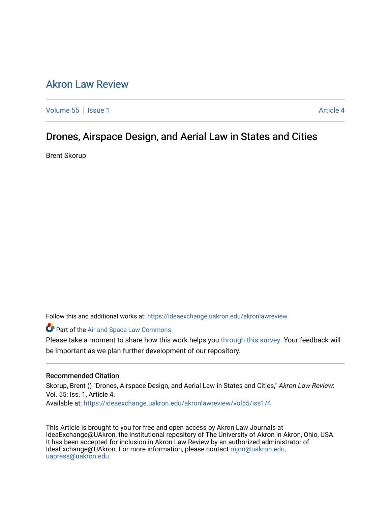# [Akron Law Review](https://ideaexchange.uakron.edu/akronlawreview)

[Volume 55](https://ideaexchange.uakron.edu/akronlawreview/vol55) | [Issue 1](https://ideaexchange.uakron.edu/akronlawreview/vol55/iss1) Article 4

# Drones, Airspace Design, and Aerial Law in States and Cities

Brent Skorup

Follow this and additional works at: [https://ideaexchange.uakron.edu/akronlawreview](https://ideaexchange.uakron.edu/akronlawreview?utm_source=ideaexchange.uakron.edu%2Fakronlawreview%2Fvol55%2Fiss1%2F4&utm_medium=PDF&utm_campaign=PDFCoverPages)

Part of the [Air and Space Law Commons](http://network.bepress.com/hgg/discipline/830?utm_source=ideaexchange.uakron.edu%2Fakronlawreview%2Fvol55%2Fiss1%2F4&utm_medium=PDF&utm_campaign=PDFCoverPages)

Please take a moment to share how this work helps you [through this survey](http://survey.az1.qualtrics.com/SE/?SID=SV_eEVH54oiCbOw05f&URL=https://ideaexchange.uakron.edu/akronlawreview/vol55/iss1/4). Your feedback will be important as we plan further development of our repository.

### Recommended Citation

Skorup, Brent () "Drones, Airspace Design, and Aerial Law in States and Cities," Akron Law Review. Vol. 55: Iss. 1, Article 4. Available at: [https://ideaexchange.uakron.edu/akronlawreview/vol55/iss1/4](https://ideaexchange.uakron.edu/akronlawreview/vol55/iss1/4?utm_source=ideaexchange.uakron.edu%2Fakronlawreview%2Fvol55%2Fiss1%2F4&utm_medium=PDF&utm_campaign=PDFCoverPages) 

This Article is brought to you for free and open access by Akron Law Journals at IdeaExchange@UAkron, the institutional repository of The University of Akron in Akron, Ohio, USA. It has been accepted for inclusion in Akron Law Review by an authorized administrator of IdeaExchange@UAkron. For more information, please contact [mjon@uakron.edu,](mailto:mjon@uakron.edu,%20uapress@uakron.edu) [uapress@uakron.edu.](mailto:mjon@uakron.edu,%20uapress@uakron.edu)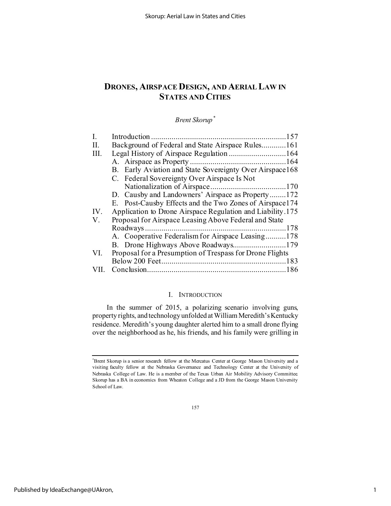# **DRONES, AIRSPACE DESIGN, AND AERIAL LAW IN STATES AND CITIES**

## *Brent Skorup[\\*](#page-1-0)*

| I.   |                                                            |
|------|------------------------------------------------------------|
| H.   | Background of Federal and State Airspace Rules161          |
| Ш.   |                                                            |
|      |                                                            |
|      | B. Early Aviation and State Sovereignty Over Airspace168   |
|      | C. Federal Sovereignty Over Airspace Is Not                |
|      |                                                            |
|      | D. Causby and Landowners' Airspace as Property172          |
|      | E. Post-Causby Effects and the Two Zones of Airspace 174   |
| IV.  | Application to Drone Airspace Regulation and Liability.175 |
| V.   | Proposal for Airspace Leasing Above Federal and State      |
|      |                                                            |
|      | A. Cooperative Federalism for Airspace Leasing178          |
|      |                                                            |
| VI.  | Proposal for a Presumption of Trespass for Drone Flights   |
|      |                                                            |
| VII. |                                                            |

### I. INTRODUCTION

In the summer of 2015, a polarizing scenario involving guns, property rights, and technology unfolded at William Meredith's Kentucky residence. Meredith's young daughter alerted him to a small drone flying over the neighborhood as he, his friends, and his family were grilling in

157

<span id="page-1-0"></span><sup>\*</sup> Brent Skorup is a senior research fellow at the Mercatus Center at George Mason University and a visiting faculty fellow at the Nebraska Governance and Technology Center at the University of Nebraska College of Law. He is a member of the Texas Urban Air Mobility Advisory Committee. Skorup has a BA in economics from Wheaton College and a JD from the George Mason University School of Law.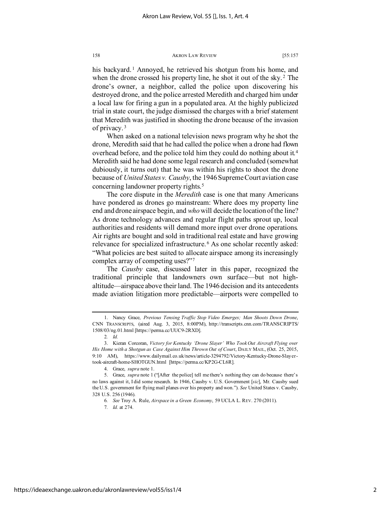his backyard.<sup>[1](#page-2-0)</sup> Annoyed, he retrieved his shotgun from his home, and when the drone crossed his property line, he shot it out of the sky.<sup>[2](#page-2-1)</sup> The drone's owner, a neighbor, called the police upon discovering his destroyed drone, and the police arrested Meredith and charged him under a local law for firing a gun in a populated area. At the highly publicized trial in state court, the judge dismissed the charges with a brief statement that Meredith was justified in shooting the drone because of the invasion of privacy. [3](#page-2-2)

When asked on a national television news program why he shot the drone, Meredith said that he had called the police when a drone had flown overhead before, and the police told him they could do nothing about it.[4](#page-2-3) Meredith said he had done some legal research and concluded (somewhat dubiously, it turns out) that he was within his rights to shoot the drone because of *United States v. Causby*, the 1946 Supreme Court aviation case concerning landowner property rights.<sup>[5](#page-2-4)</sup>

The core dispute in the *Meredith* case is one that many Americans have pondered as drones go mainstream: Where does my property line end and drone airspace begin, and *who*will decide the location of the line? As drone technology advances and regular flight paths sprout up, local authorities and residents will demand more input over drone operations. Air rights are bought and sold in traditional real estate and have growing relevance for specialized infrastructure. [6](#page-2-5) As one scholar recently asked: "What policies are best suited to allocate airspace among its increasingly complex array of competing uses?"[7](#page-2-6)

The *Causby* case, discussed later in this paper, recognized the traditional principle that landowners own surface—but not highaltitude—airspace above their land. The 1946 decision and its antecedents made aviation litigation more predictable—airports were compelled to

<span id="page-2-0"></span><sup>1.</sup> Nancy Grace, *Previous Tensing Traffic Stop Video Emerges; Man Shoots Down Drone*, CNN TRANSCRIPTS, (aired Aug. 3, 2015, 8:00PM), http://transcripts.cnn.com/TRANSCRIPTS/ 1508/03/ng.01.html [https://perma.cc/UUC9-2RXD].

<sup>2</sup>*. Id.*

<span id="page-2-2"></span><span id="page-2-1"></span><sup>3.</sup> Kieran Corcoran, *Victory for Kentucky 'Drone Slayer' Who Took Out Aircraft Flying over His Home with a Shotgun as Case Against Him Thrown Out of Court*, DAILY MAIL, (Oct. 25, 2015, 9:10 AM), https://www.dailymail.co.uk/news/article-3294792/Victory-Kentucky-Drone-Slayertook-aircraft-home-SHOTGUN.html [https://perma.cc/KP2G-CL6R].

<sup>4.</sup> Grace, *supra* note 1.

<span id="page-2-6"></span><span id="page-2-5"></span><span id="page-2-4"></span><span id="page-2-3"></span><sup>5.</sup> Grace, *supra* note 1 ("[After the police] tell me there's nothing they can do because there's no laws against it, I did some research. In 1946, Causby v. U.S. Government [*sic*], Mr. Causby sued the U.S. government for flying mail planes over his property and won."). *See* United States v. Causby, 328 U.S. 256 (1946).

<sup>6</sup>*. See* Troy A. Rule, *Airspace in a Green Economy*, 59 UCLA L. REV. 270 (2011).

<sup>7</sup>*. Id.* at 274.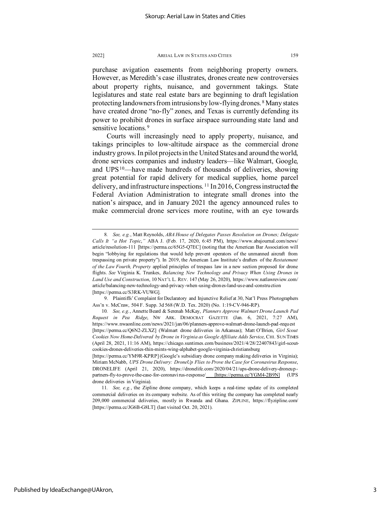purchase avigation easements from neighboring property owners. However, as Meredith's case illustrates, drones create new controversies about property rights, nuisance, and government takings. State legislatures and state real estate bars are beginning to draft legislation protecting landowners from intrusions by low-flying drones. [8](#page-3-0) Many states have created drone "no-fly" zones, and Texas is currently defending its power to prohibit drones in surface airspace surrounding state land and sensitive locations.<sup>[9](#page-3-1)</sup>

Courts will increasingly need to apply property, nuisance, and takings principles to low-altitude airspace as the commercial drone industry grows. In pilot projects in the United States and around the world, drone services companies and industry leaders—like Walmart, Google, and  $UPS^{10}$  $UPS^{10}$  $UPS^{10}$ —have made hundreds of thousands of deliveries, showing great potential for rapid delivery for medical supplies, home parcel delivery, and infrastructure inspections. [11](#page-3-3) In 2016, Congress instructed the Federal Aviation Administration to integrate small drones into the nation's airspace, and in January 2021 the agency announced rules to make commercial drone services more routine, with an eye towards

<span id="page-3-0"></span><sup>8</sup>*. See, e.g.*, Matt Reynolds, *ABA House of Delegates Passes Resolution on Drones; Delegate Calls It "a Hot Topic*,*"* ABA J. (Feb. 17, 2020, 6:45 PM), https://www.abajournal.com/news/ article/resolution-111 [https://perma.cc/65G5-Q7EC] (noting that the American Bar Association will begin "lobbying for regulations that would help prevent operators of the unmanned aircraft from trespassing on private property"). In 2019, the American Law Institute's drafters of the *Restatement of the Law Fourth, Property* applied principles of trespass law in a new section proposed for drone flights. *See* Virginia K. Trunkes, *Balancing New Technology and Privacy When Using Drones in Land Use and Construction*, 10 NAT'L L. REV. 147 (May 26, 2020), https://www.natlawreview.com/ article/balancing-new-technology-and-privacy-when-using-drones-land-use-and-construction [https://perma.cc/S3RK-VUWG].

<span id="page-3-1"></span><sup>9.</sup> Plaintiffs' Complaint for Declaratory and Injunctive Relief at 30, Nat'l Press Photographers Ass'n v. McCraw, 504 F. Supp. 3d 568 (W.D. Tex. 2020) (No. 1:19-CV-946-RP).

<span id="page-3-2"></span><sup>10</sup>*. See, e.g.*, Annette Beard & Serenah McKay, *Planners Approve Walmart Drone Launch Pad Request in Pea Ridge*, NW ARK. DEMOCRAT GAZETTE (Jan. 6, 2021, 7:27 AM), https://www.nwaonline.com/news/2021/jan/06/planners-approve-walmart-drone-launch-pad-request [https://perma.cc/Q6N2-ZLXZ] (Walmart drone deliveries in Arkansas); Matt O'Brien, *Girl Scout Cookies Now Home-Delivered by Drone in Virginia as Google Affiliate Adds Service*, CHI. SUN TIMES (April 28, 2021, 11:16 AM), https://chicago.suntimes.com/business/2021/4/28/22407843/girl-scoutcookies-drones-deliveries-thin-mints-wing-alphabet-google-virginia-christiansburg

<sup>[</sup>https://perma.cc/YM9R-KPRP] (Google's subsidiary drone company making deliveries in Virginia); Miriam McNabb, *UPS Drone Delivery: DroneUp Flies to Prove the Case for Coronavirus Response*, DRONELIFE (April 21, 2020), https://dronelife.com/2020/04/21/ups-drone-delivery-droneuppartners-fly-to-prove-the-case-for-coronavirus-response/ [https://perma.cc/YGM4-2B9N] (UPS drone deliveries in Virginia).

<span id="page-3-3"></span><sup>11</sup>*. See, e.g.*, the Zipline drone company, which keeps a real-time update of its completed commercial deliveries on its company website. As of this writing the company has completed nearly 209,000 commercial deliveries, mostly in Rwanda and Ghana. ZIPLINE, https://flyzipline.com/ [https://perma.cc/JG6B-G8LT] (last visited Oct. 20, 2021).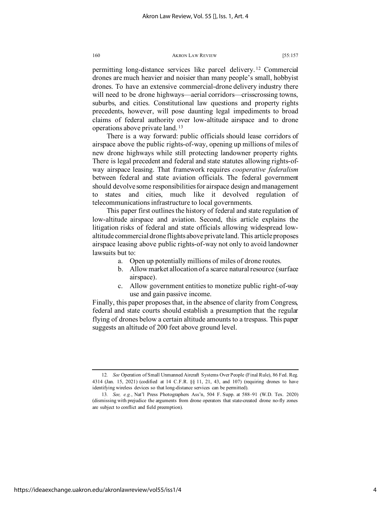permitting long-distance services like parcel delivery. [12](#page-4-0) Commercial drones are much heavier and noisier than many people's small, hobbyist drones. To have an extensive commercial-drone delivery industry there will need to be drone highways—aerial corridors—crisscrossing towns, suburbs, and cities. Constitutional law questions and property rights precedents, however, will pose daunting legal impediments to broad claims of federal authority over low-altitude airspace and to drone operations above private land. [13](#page-4-1)

There is a way forward: public officials should lease corridors of airspace above the public rights-of-way, opening up millions of miles of new drone highways while still protecting landowner property rights. There is legal precedent and federal and state statutes allowing rights-ofway airspace leasing. That framework requires *cooperative federalism* between federal and state aviation officials. The federal government should devolve some responsibilities for airspace design and management to states and cities, much like it devolved regulation of telecommunications infrastructure to local governments.

This paper first outlines the history of federal and state regulation of low-altitude airspace and aviation. Second, this article explains the litigation risks of federal and state officials allowing widespread lowaltitude commercial drone flights above private land. This article proposes airspace leasing above public rights-of-way not only to avoid landowner lawsuits but to:

- a. Open up potentially millions of miles of drone routes.
- b. Allow market allocation of a scarce natural resource (surface airspace).
- c. Allow government entities to monetize public right-of-way use and gain passive income.

Finally, this paper proposes that, in the absence of clarity from Congress, federal and state courts should establish a presumption that the regular flying of drones below a certain altitude amounts to a trespass. This paper suggests an altitude of 200 feet above ground level.

<span id="page-4-0"></span><sup>12</sup>*. See* Operation of Small Unmanned Aircraft Systems Over People (Final Rule), 86 Fed. Reg. 4314 (Jan. 15, 2021) (codified at 14 C.F.R. §§ 11, 21, 43, and 107) (requiring drones to have identifying wireless devices so that long-distance services can be permitted).

<span id="page-4-1"></span><sup>13</sup>*. See, e.g.*, Nat'l Press Photographers Ass'n, 504 F. Supp. at 588–91 (W.D. Tex. 2020) (dismissing with prejudice the arguments from drone operators that state-created drone no-fly zones are subject to conflict and field preemption).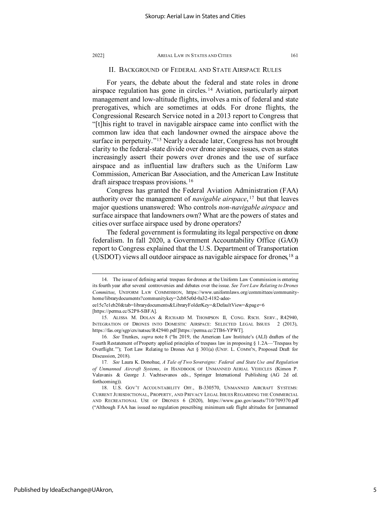### II. BACKGROUND OF FEDERAL AND STATE AIRSPACE RULES

For years, the debate about the federal and state roles in drone airspace regulation has gone in circles. [14](#page-5-0) Aviation, particularly airport management and low-altitude flights, involves a mix of federal and state prerogatives, which are sometimes at odds. For drone flights, the Congressional Research Service noted in a 2013 report to Congress that "[t]his right to travel in navigable airspace came into conflict with the common law idea that each landowner owned the airspace above the surface in perpetuity."<sup>[15](#page-5-1)</sup> Nearly a decade later, Congress has not brought clarity to the federal-state divide over drone airspace issues, even as states increasingly assert their powers over drones and the use of surface airspace and as influential law drafters such as the Uniform Law Commission, American Bar Association, and the American Law Institute draft airspace trespass provisions. [16](#page-5-2)

Congress has granted the Federal Aviation Administration (FAA) authority over the management of *navigable airspace*, [17](#page-5-3) but that leaves major questions unanswered: Who controls *non-navigable airspace* and surface airspace that landowners own? What are the powers of states and cities over surface airspace used by drone operators?

The federal government is formulating its legal perspective on drone federalism. In fall 2020, a Government Accountability Office (GAO) report to Congress explained that the U.S. Department of Transportation (USDOT) views all outdoor airspace as navigable airspace for drones,  $18$  a

<span id="page-5-0"></span><sup>14.</sup> The issue of defining aerial trespass for drones at the Uniform Law Commission is entering its fourth year after several controversies and debates over the issue. *See Tort Law Relating to Drones Committee*, UNIFORM LAW COMMISSION, https://www.uniformlaws.org/committees/communityhome/librarydocuments?communitykey=2cb85e0d-0a32-4182-adee-

ee15c7e1eb20&tab=librarydocuments&LibraryFolderKey=&DefaultView=&page=6 [https://perma.cc/S2P8-SBFA].

<span id="page-5-1"></span><sup>15.</sup> ALISSA M. DOLAN & RICHARD M. THOMPSON II, CONG. RSCH. SERV., R42940, INTEGRATION OF DRONES INTO DOMESTIC AIRSPACE: SELECTED LEGAL ISSUES 2 (2013), https://fas.org/sgp/crs/natsec/R42940.pdf [https://perma.cc/2TB6-YPWT].

<span id="page-5-2"></span><sup>16</sup>*. See* Trunkes, *supra* note 8 ("In 2019, the American Law Institute's (ALI) drafters of the Fourth Restatement of Property applied principles of trespass law in proposing § 1.2A—'Trespass by Overflight.'"); Tort Law Relating to Drones Act § 301(a) (UNIF. L. COMM'N, Proposed Draft for Discussion, 2018).

<span id="page-5-3"></span><sup>17</sup>*. See* Laura K. Donohue, *A Tale of Two Sovereigns: Federal and State Use and Regulation of Unmanned Aircraft Systems*, *in* HANDBOOK OF UNMANNED AERIAL VEHICLES (Kimon P. Valavanis & George J. Vachtsevanos eds., Springer International Publishing (AG 2d ed. forthcoming)).

<span id="page-5-4"></span><sup>18.</sup> U.S. GOV'T ACCOUNTABILITY OFF., B-330570, UNMANNED AIRCRAFT SYSTEMS: CURRENT JURISDICTIONAL, PROPERTY, AND PRIVACY LEGAL ISSUES REGARDING THE COMMERCIAL AND RECREATIONAL USE OF DRONES 6 (2020), https://www.gao.gov/assets/710/709370.pdf ("Although FAA has issued no regulation prescribing minimum safe flight altitudes for [unmanned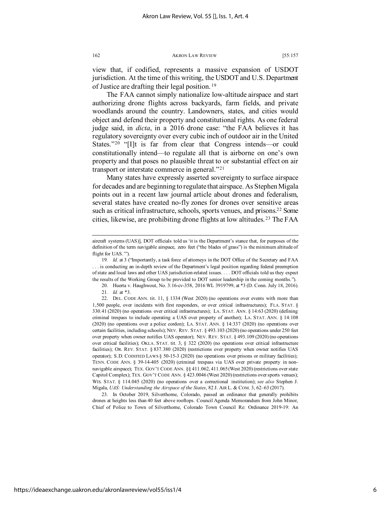view that, if codified, represents a massive expansion of USDOT jurisdiction. At the time of this writing, the USDOT and U.S. Department of Justice are drafting their legal position. [19](#page-6-0)

The FAA cannot simply nationalize low-altitude airspace and start authorizing drone flights across backyards, farm fields, and private woodlands around the country. Landowners, states, and cities would object and defend their property and constitutional rights. As one federal judge said, in *dicta*, in a 2016 drone case: "the FAA believes it has regulatory sovereignty over every cubic inch of outdoor air in the United States."<sup>[20](#page-6-1)</sup> "[I]t is far from clear that Congress intends—or could constitutionally intend—to regulate all that is airborne on one's own property and that poses no plausible threat to or substantial effect on air transport or interstate commerce in general."[21](#page-6-2)

Many states have expressly asserted sovereignty to surface airspace for decades and are beginning to regulate that airspace. As Stephen Migala points out in a recent law journal article about drones and federalism, several states have created no-fly zones for drones over sensitive areas such as critical infrastructure, schools, sports venues, and prisons.<sup>[22](#page-6-3)</sup> Some cities, likewise, are prohibiting drone flights at low altitudes. [23](#page-6-4) The FAA

<span id="page-6-4"></span>23. In October 2019, Silverthorne, Colorado, passed an ordinance that generally prohibits drones at heights less than 40 feet above rooftops. Council Agenda Memorandum from John Minor, Chief of Police to Town of Silverthorne, Colorado Town Council Re: Ordinance 2019-19: An

aircraft systems (UAS)], DOT officials told us 'it is the Department's stance that, for purposes of the definition of the term navigable airspace, zero feet ("the blades of grass") is the minimum altitude of flight for UAS.'").

<span id="page-6-0"></span><sup>19</sup>*. Id.* at 3 ("Importantly, a task force of attorneys in the DOT Office of the Secretary and FAA . . . is conducting an in-depth review of the Department's legal position regarding federal preemption of state and local laws and other UAS jurisdiction-related issues. . . . DOT officials told us they expect the results of the Working Group to be provided to DOT senior leadership in the coming months.").

<sup>20.</sup> Huerta v. Haughwout, No. 3:16-cv-358, 2016 WL 3919799, at \*3 (D. Conn. July 18, 2016). 21*. Id.* at \*3.

<span id="page-6-3"></span><span id="page-6-2"></span><span id="page-6-1"></span><sup>22.</sup> DEL. CODE ANN. tit. 11, § 1334 (West 2020) (no operations over events with more than 1,500 people, over incidents with first responders, or over critical infrastructures); FLA. STAT. § 330.41 (2020) (no operations over critical infrastructures); LA. STAT. ANN. § 14:63 (2020) (defining criminal trespass to include operating a UAS over property of another); LA. STAT. ANN. § 14:108 (2020) (no operations over a police cordon); LA. STAT. ANN. § 14:337 (2020) (no operations over certain facilities, including schools); NEV. REV. STAT. § 493.103 (2020) (no operations under 250 feet over property when owner notifies UAS operator); NEV. REV. STAT. § 493.109 (2020) (no operations over critical facilities); OKLA. STAT. tit. 3, § 322 (2020) (no operations over critical infrastructure facilities); OR. REV. STAT. § 837.380 (2020) (restrictions over property when owner notifies UAS operator); S.D. CODIFIED LAWS § 50-15-3 (2020) (no operations over prisons or military facilities); TENN. CODE ANN. § 39-14-405 (2020) (criminal trespass via UAS over private property in nonnavigable airspace); TEX. GOV'T CODE ANN. §§ 411.062, 411.065 (West 2020) (restrictions over state Capitol Complex); TEX. GOV'T CODE ANN. § 423.0046 (West 2020) (restrictions over sports venues); WIS. STAT. § 114.045 (2020) (no operations over a correctional institution); *see also* Stephen J. Migala, *UAS: Understanding the Airspace of the States*, 82 J. AIR L. & COM. 3, 62–63 (2017).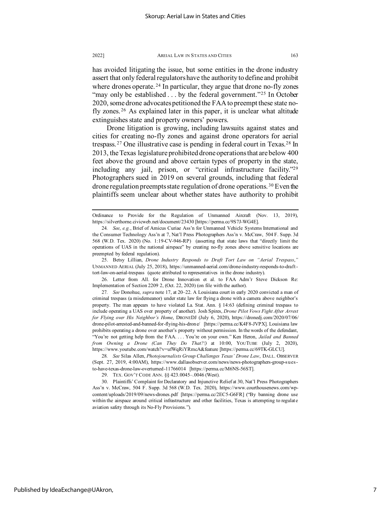has avoided litigating the issue, but some entities in the drone industry assert that only federal regulators have the authority to define and prohibit where drones operate.<sup>[24](#page-7-0)</sup> In particular, they argue that drone no-fly zones "may only be established . . . by the federal government."<sup>[25](#page-7-1)</sup> In October 2020, some drone advocates petitioned the FAA to preempt these state nofly zones. [26](#page-7-2) As explained later in this paper, it is unclear what altitude extinguishes state and property owners' powers.

Drone litigation is growing, including lawsuits against states and cities for creating no-fly zones and against drone operators for aerial trespass. [27](#page-7-3) One illustrative case is pending in federal court in Texas.[28](#page-7-4) In 2013, the Texas legislature prohibited drone operations that are below 400 feet above the ground and above certain types of property in the state, including any jail, prison, or "critical infrastructure facility.["29](#page-7-5) Photographers sued in 2019 on several grounds, including that federal drone regulation preempts state regulation of drone operations.<sup>[30](#page-7-6)</sup> Even the plaintiffs seem unclear about whether states have authority to prohibit

<span id="page-7-1"></span>25. Betsy Lillian, *Drone Industry Responds to Draft Tort Law on "Aerial Trespass*,*"* UNMANNED AERIAL (July 25, 2018), https://unmanned-aerial.com/drone-industry-responds-to-drafttort-law-on-aerial-trespass (quote attributed to representatives in the drone industry).

<span id="page-7-2"></span>26. Letter from All. for Drone Innovation et al. to FAA Adm'r Steve Dickson Re: Implementation of Section 2209 2, (Oct. 22, 2020) (on file with the author).

<span id="page-7-3"></span>27*. See* Donohue, *supra* note 17, at 20–22. A Louisiana court in early 2020 convicted a man of criminal trespass (a misdemeanor) under state law for flying a drone with a camera above neighbor's property. The man appears to have violated La. Stat. Ann. § 14:63 (defining criminal trespass to include operating a UAS over property of another). Josh Spires, *Drone Pilot Vows Fight After Arrest for Flying over His Neighbor's Home*, DRONEDJ (July 6, 2020), https://dronedj.com/2020/07/06/ drone-pilot-arrested-and-banned-for-flying-his-drone/ [https://perma.cc/K4F8-JVPX]. Louisiana law prohibits operating a drone over another's property without permission. In the words of the defendant, "You're not getting help from the FAA. . . . You're on your own." Ken Heron, *Jailed and Banned from Owning a Drone (Can They Do That?!)* at 10:00, YOUTUBE (July 2, 2020), https://www.youtube.com/watch?v=ufWqRiYRmcA&feature [https://perma.cc/69TK-GLCU].

<span id="page-7-4"></span>28*. See* Silas Allen, *Photojournalists Group Challenges Texas' Drone Law*, DALL. OBSERVER (Sept. 27, 2019, 4:00AM), https://www.dallasobserver.com/news/news-photographers-group-suesto-have-texas-drone-law-overturned-11766014 [https://perma.cc/M6NS-56ST].

29. TEX. GOV'T CODE ANN. §§ 423.0045–.0046 (West).

<span id="page-7-6"></span><span id="page-7-5"></span>30. Plaintiffs' Complaint for Declaratory and Injunctive Relief at 30, Nat'l Press Photographers Ass'n v. McCraw, 504 F. Supp. 3d 568 (W.D. Tex. 2020), https://www.courthousenews.com/wpcontent/uploads/2019/09/news-drones.pdf [https://perma.cc/2EC5-G6FR] ("By banning drone use within the airspace around critical infrastructure and other facilities, Texas is attempting to regulate aviation safety through its No-Fly Provisions.").

Ordinance to Provide for the Regulation of Unmanned Aircraft (Nov. 13, 2019), https://silverthorne.civicweb.net/document/23430 [https://perma.cc/9S7J-WG4E].

<span id="page-7-0"></span><sup>24</sup>*. See*, *e.g.*, Brief of Amicus Curiae Ass'n for Unmanned Vehicle Systems International and the Consumer Technology Ass'n at 7, Nat'l Press Photographers Ass'n v. McCraw, 504 F. Supp. 3d 568 (W.D. Tex. 2020) (No. 1:19-CV-946-RP) (asserting that state laws that "directly limit the operations of UAS in the national airspace" by creating no-fly zones above sensitive locations are preempted by federal regulation).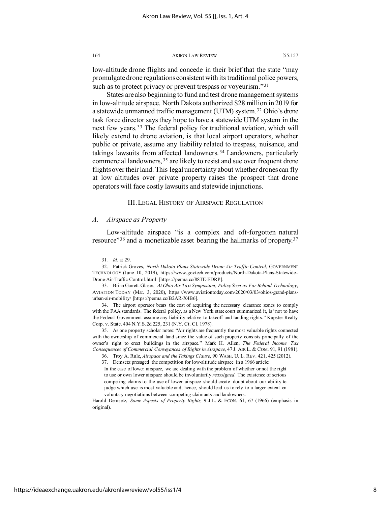low-altitude drone flights and concede in their brief that the state "may promulgate drone regulations consistent with its traditional police powers, such as to protect privacy or prevent trespass or voyeurism."<sup>[31](#page-8-0)</sup>

States are also beginning to fund and test drone management systems in low-altitude airspace. North Dakota authorized \$28 million in 2019 for a statewide unmanned traffic management (UTM) system.<sup>32</sup> Ohio's drone task force director says they hope to have a statewide UTM system in the next few years. [33](#page-8-2) The federal policy for traditional aviation, which will likely extend to drone aviation, is that local airport operators, whether public or private, assume any liability related to trespass, nuisance, and takings lawsuits from affected landowners. [34](#page-8-3) Landowners, particularly commercial landowners, [35](#page-8-4) are likely to resist and sue over frequent drone flights over their land. This legal uncertainty about whether drones can fly at low altitudes over private property raises the prospect that drone operators will face costly lawsuits and statewide injunctions.

### III. LEGAL HISTORY OF AIRSPACE REGULATION

### *A. Airspace as Property*

Low-altitude airspace "is a complex and oft-forgotten natural resource"<sup>[36](#page-8-5)</sup> and a monetizable asset bearing the hallmarks of property.<sup>[37](#page-8-6)</sup>

<sup>31</sup>*. Id.* at 29.

<span id="page-8-1"></span><span id="page-8-0"></span><sup>32.</sup> Patrick Groves, *North Dakota Plans Statewide Drone Air Traffic Control*, GOVERNMENT TECHNOLOGY (June 10, 2019), https://www.govtech.com/products/North-Dakota-Plans-Statewide-Drone-Air-Traffic-Control.html [https://perma.cc/88TE-EDRP].

<span id="page-8-2"></span><sup>33.</sup> Brian Garrett-Glaser, *At Ohio Air Taxi Symposium, Policy Seen as Far Behind Technology*, AVIATION TODAY (Mar. 3, 2020), https://www.aviationtoday.com/2020/03/03/ohios-grand-plansurban-air-mobility/ [https://perma.cc/B2AR-X4B6].

<span id="page-8-3"></span><sup>34.</sup> The airport operator bears the cost of acquiring the necessary clearance zones to comply with the FAA standards. The federal policy, as a New York state court summarized it, is "not to have the Federal Government assume any liability relative to takeoff and landing rights." Kupster Realty Corp. v. State, 404 N.Y.S.2d 225, 231 (N.Y. Ct. Cl. 1978).

<span id="page-8-6"></span><span id="page-8-5"></span><span id="page-8-4"></span><sup>35.</sup> As one property scholar notes: "Air rights are frequently the most valuable rights connected with the ownership of commercial land since the value of such property consists principally of the owner's right to erect buildings in the airspace." Mark H. Allen, *The Federal Income Tax Consequences of Commercial Conveyances of Rights in Airspace*, 47 J. AIR L. & COM. 91, 91 (1981).

<sup>36.</sup> Troy A. Rule, *Airspace and the Takings Clause*, 90 WASH. U. L. REV. 421, 425 (2012).

<sup>37.</sup> Demsetz presaged the competition for low-altitude airspace in a 1966 article: In the case of lower airspace, we are dealing with the problem of whether or not the right to use or own lower airspace should be involuntarily *reassigned*. The existence of serious competing claims to the use of lower airspace should create doubt about our ability to judge which use is most valuable and, hence, should lead us to rely to a larger extent on voluntary negotiations between competing claimants and landowners.

Harold Demsetz, *Some Aspects of Property Rights,* 9 J.L. & ECON. 61, 67 (1966) (emphasis in original).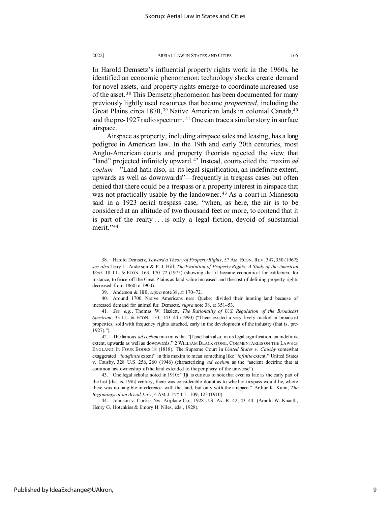In Harold Demsetz's influential property rights work in the 1960s, he identified an economic phenomenon: technology shocks create demand for novel assets, and property rights emerge to coordinate increased use of the asset. [38](#page-9-0) This Demsetz phenomenon has been documented for many previously lightly used resources that became *propertized*, including the Great Plains circa 1870,<sup>[39](#page-9-1)</sup> Native American lands in colonial Canada,<sup>[40](#page-9-2)</sup> and the pre-1927 radio spectrum. [41](#page-9-3) One can trace a similar story in surface airspace.

Airspace as property, including airspace sales and leasing, has a long pedigree in American law. In the 19th and early 20th centuries, most Anglo-American courts and property theorists rejected the view that "land" projected infinitely upward. [42](#page-9-4) Instead, courts cited the maxim *ad coelum*—"Land hath also, in its legal signification, an indefinite extent, upwards as well as downwards"—frequently in trespass cases but often denied that there could be a trespass or a property interest in airspace that was not practically usable by the landowner. [43](#page-9-5) As a court in Minnesota said in a 1923 aerial trespass case, "when, as here, the air is to be considered at an altitude of two thousand feet or more, to contend that it is part of the realty . . . is only a legal fiction, devoid of substantial merit."<sup>[44](#page-9-6)</sup>

<span id="page-9-0"></span><sup>38.</sup> Harold Demsetz, *Toward a Theory of Property Rights*, 57 AM. ECON. REV. 347, 350 (1967); *see also* Terry L. Anderson & P. J. Hill, *The Evolution of Property Rights: A Study of the American West*, 18 J.L. & ECON. 163, 170–72 (1975) (showing that it became economical for cattlemen, for instance, to fence off the Great Plains as land value increased and the cost of defining property rights decreased from 1860 to 1900).

<sup>39.</sup> Anderson & Hill, *supra* note 38, at 170–72.

<span id="page-9-2"></span><span id="page-9-1"></span><sup>40.</sup> Around 1700, Native Americans near Quebec divided their hunting land because of increased demand for animal fur. Demsetz, *supra* note 38, at 351–53.

<span id="page-9-3"></span><sup>41</sup>*. See, e.g.*, Thomas W. Hazlett, *The Rationality of U.S. Regulation of the Broadcast Spectrum*, 33 J.L. & ECON. 133, 143–44 (1990) ("There existed a very lively market in broadcast properties, sold with frequency rights attached, early in the development of the industry (that is, pre-1927).").

<span id="page-9-4"></span><sup>42.</sup> The famous *ad coelum* maxim is that "[l]and hath also, in its legal signification, an indefinite extent, upwards as well as downwards." 2 WILLIAM BLACKSTONE, COMMENTARIES ON THE LAWS OF ENGLAND: IN FOUR BOOKS 18 (1818). The Supreme Court in *United States v. Causby* somewhat exaggerated "*indefinite* extent" in this maxim to mean something like "*infinite* extent." United States v. Causby, 328 U.S. 256, 260 (1946) (characterizing *ad coelum* as the "ancient doctrine that at common law ownership of the land extended to the periphery of the universe").

<span id="page-9-5"></span><sup>43.</sup> One legal scholar noted in 1910: "[I]t is curious to note that even as late as the early part of the last [that is, 19th] century, there was considerable doubt as to whether trespass would lie, where there was no tangible interference with the land, but only with the airspace." Arthur K. Kuhn, *The Beginnings of an Aërial Law*, 4 AM. J. INT'L L. 109, 123 (1910).

<span id="page-9-6"></span><sup>44.</sup> Johnson v. Curtiss Nw. Airplane Co., 1928 U.S. Av. R. 42, 43–44 (Arnold W. Knauth, Henry G. Hotchkiss & Emory H. Niles, eds., 1928).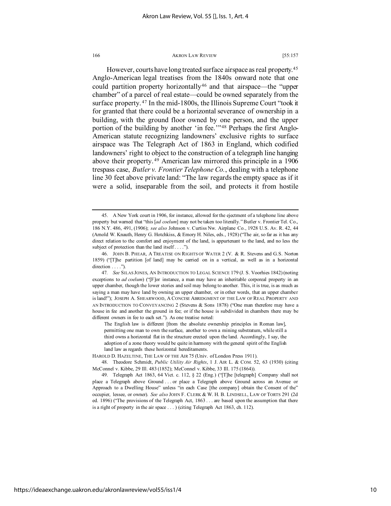However, courts have long treated surface airspace as real property.[45](#page-10-0) Anglo-American legal treatises from the 1840s onward note that one could partition property horizontally[46](#page-10-1) and that airspace—the "upper chamber" of a parcel of real estate—could be owned separately from the surface property.<sup>[47](#page-10-2)</sup> In the mid-1800s, the Illinois Supreme Court "took it for granted that there could be a horizontal severance of ownership in a building, with the ground floor owned by one person, and the upper portion of the building by another 'in fee.'"<sup>[48](#page-10-3)</sup> Perhaps the first Anglo-American statute recognizing landowners' exclusive rights to surface airspace was The Telegraph Act of 1863 in England, which codified landowners' right to object to the construction of a telegraph line hanging above their property. [49](#page-10-4) American law mirrored this principle in a 1906 trespass case, *Butler v. Frontier Telephone Co.*, dealing with a telephone line 30 feet above private land: "The law regards the empty space as if it were a solid, inseparable from the soil, and protects it from hostile

The English law is different [from the absolute ownership principles in Roman law], permitting one man to own the surface, another to own a mining substratum, while still a third owns a horizontal flat in the structure erected upon the land. Accordingly, I say, the adoption of a zone theory would be quite in harmony with the general spirit of the English land law as regards these horizontal hereditaments.

https://ideaexchange.uakron.edu/akronlawreview/vol55/iss1/4

<span id="page-10-0"></span><sup>45.</sup> A New York court in 1906, for instance, allowed for the ejectment of a telephone line above property but warned that "this [*ad coelum*] may not be taken too literally." Butler v. Frontier Tel. Co., 186 N.Y. 486, 491, (1906); *see also* Johnson v. Curtiss Nw. Airplane Co., 1928 U.S. Av. R. 42, 44 (Arnold W. Knauth, Henry G. Hotchkiss, & Emory H. Niles, eds., 1928) ("The air, so far as it has any direct relation to the comfort and enjoyment of the land, is appurtenant to the land, and no less the subject of protection than the land itself . . . .").

<span id="page-10-1"></span><sup>46.</sup> JOHN B. PHEAR, A TREATISE ON RIGHTS OF WATER 2 (V. & R. Stevens and G.S. Norton 1859) ("[T]he partition [of land] may be carried on in a vertical, as well as in a horizontal direction . . . .").

<span id="page-10-2"></span><sup>47</sup>*. See* SILAS JONES, AN INTRODUCTION TO LEGAL SCIENCE 179 (J. S. Voorhies 1842) (noting exceptions to *ad coelum*) ("[F]or instance, a man may have an inheritable corporeal property in an upper chamber, though the lower stories and soil may belong to another. This, it is true, is as much as saying a man may have land by owning an upper chamber, or in other words, that an upper chamber is land!"); JOSEPH A. SHEARWOOD, A CONCISE ABRIDGMENT OF THE LAW OF REAL PROPERTY AND AN INTRODUCTION TO CONVEYANCING 2 (Stevens & Sons 1878) ("One man therefore may have a house in fee and another the ground in fee; or if the house is subdivided in chambers there may be different owners in fee to each set."). As one treatise noted:

HAROLD D. HAZELTINE, THE LAW OF THE AIR 75 (Univ. of London Press 1911).

<span id="page-10-3"></span><sup>48.</sup> Theodore Schmidt, *Public Utility Air Rights*, 1 J. AIR L. & COM. 52, 63 (1930) (citing McConnel v. Kibbe, 29 Ill. 483 (1852); McConnel v. Kibbe, 33 Ill. 175 (1864)).

<span id="page-10-4"></span><sup>49.</sup> Telegraph Act 1863, 64 Vict. c. 112, § 22 (Eng.) ("[T]he [telegraph] Company shall not place a Telegraph above Ground . . . or place a Telegraph above Ground across an Avenue or Approach to a Dwelling House" unless "in each Case [the company] obtain the Consent of the" occupier, lessee, or owner). *See also* JOHN F. CLERK & W. H. B. LINDSELL, LAW OF TORTS 291 (2d ed. 1896) ("The provisions of the Telegraph Act, 1863 . . . are based upon the assumption that there is a right of property in the air space . . . ) (citing Telegraph Act 1863, ch. 112).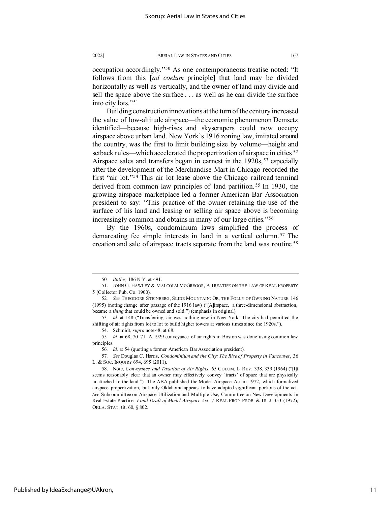occupation accordingly."[50](#page-11-0) As one contemporaneous treatise noted: "It follows from this [*ad coelum* principle] that land may be divided horizontally as well as vertically, and the owner of land may divide and sell the space above the surface . . . as well as he can divide the surface into city lots."[51](#page-11-1)

Building construction innovations at the turn of the century increased the value of low-altitude airspace—the economic phenomenon Demsetz identified—because high-rises and skyscrapers could now occupy airspace above urban land. New York's 1916 zoning law, imitated around the country, was the first to limit building size by volume—height and setback rules—which accelerated the propertization of airspace in cities.<sup>[52](#page-11-2)</sup> Airspace sales and transfers began in earnest in the 1920s,<sup>[53](#page-11-3)</sup> especially after the development of the Merchandise Mart in Chicago recorded the first "air lot."[54](#page-11-4) This air lot lease above the Chicago railroad terminal derived from common law principles of land partition.<sup>[55](#page-11-5)</sup> In 1930, the growing airspace marketplace led a former American Bar Association president to say: "This practice of the owner retaining the use of the surface of his land and leasing or selling air space above is becoming increasingly common and obtains in many of our large cities."[56](#page-11-6)

By the 1960s, condominium laws simplified the process of demarcating fee simple interests in land in a vertical column. [57](#page-11-7) The creation and sale of airspace tracts separate from the land was routine.<sup>[58](#page-11-8)</sup>

<sup>50</sup>*. Butler,* 186 N.Y. at 491.

<span id="page-11-1"></span><span id="page-11-0"></span><sup>51.</sup> JOHN G. HAWLEY & MALCOLM MCGREGOR, A TREATISE ON THE LAW OF REAL PROPERTY 5 (Collector Pub. Co. 1900).

<span id="page-11-2"></span><sup>52</sup>*. See* THEODORE STEINBERG, SLIDE MOUNTAIN: OR, THE FOLLY OF OWNING NATURE 146 (1995) (noting change after passage of the 1916 law) ("[A]irspace, a three-dimensional abstraction, became a *thing* that could be owned and sold.") (emphasis in original).

<span id="page-11-3"></span><sup>53</sup>*. Id.* at 148 ("Transferring air was nothing new in New York. The city had permitted the shifting of air rights from lot to lot to build higher towers at various times since the 1920s.").

<sup>54.</sup> Schmidt, *supra* note 48, at 68.

<span id="page-11-5"></span><span id="page-11-4"></span><sup>55</sup>*. Id.* at 68, 70–71. A 1929 conveyance of air rights in Boston was done using common law principles.

<sup>56</sup>*. Id.* at 54 (quoting a former American Bar Association president).

<span id="page-11-7"></span><span id="page-11-6"></span><sup>57</sup>*. See* Douglas C. Harris, *Condominium and the City: The Rise of Property in Vancouver*, 36 L. & SOC. INQUIRY 694, 695 (2011).

<span id="page-11-8"></span><sup>58.</sup> Note, *Conveyance and Taxation of Air Rights*, 65 COLUM. L. REV. 338, 339 (1964) ("[I]t seems reasonably clear that an owner may effectively convey 'tracts' of space that are physically unattached to the land."). The ABA published the Model Airspace Act in 1972, which formalized airspace propertization, but only Oklahoma appears to have adopted significant portions of the act. *See* Subcommittee on Airspace Utilization and Multiple Use, Committee on New Developments in Real Estate Practice, *Final Draft of Model Airspace Act*, 7 REAL PROP. PROB. & TR. J. 353 (1972); OKLA. STAT. tit. 60, § 802.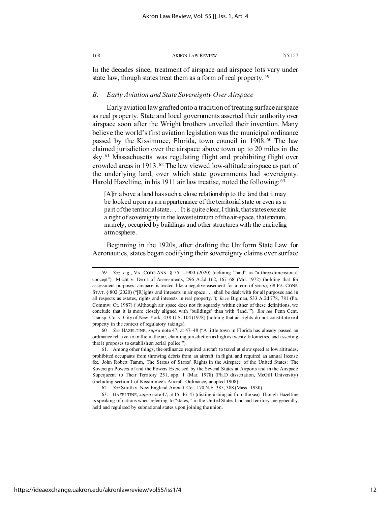In the decades since, treatment of airspace and airspace lots vary under state law, though states treat them as a form of real property.<sup>[59](#page-12-0)</sup>

### *B. Early Aviation and State Sovereignty Over Airspace*

Early aviation law grafted onto a tradition of treating surface airspace as real property. State and local governments asserted their authority over airspace soon after the Wright brothers unveiled their invention. Many believe the world's first aviation legislation was the municipal ordinance passed by the Kissimmee, Florida, town council in 1908. [60](#page-12-1) The law claimed jurisdiction over the airspace above town up to 20 miles in the sky. [61](#page-12-2) Massachusetts was regulating flight and prohibiting flight over crowded areas in 1913. [62](#page-12-3) The law viewed low-altitude airspace as part of the underlying land, over which state governments had sovereignty. Harold Hazeltine, in his 1911 air law treatise, noted the following: [63](#page-12-4)

[A]ir above a land has such a close relationship to the land that it may be looked upon as an appurtenance of the territorial state or even as a part of the territorial state. . . . It is quite clear, I think, that states exercise a right of sovereignty in the lowest stratum of the air-space, that stratum, namely, occupied by buildings and other structures with the encircling atmosphere.

Beginning in the 1920s, after drafting the Uniform State Law for Aeronautics, states began codifying their sovereignty claims over surface

<span id="page-12-1"></span>60*. See* HAZELTINE, *supra* note 47, at 47–48 ("A little town in Florida has already passed an ordinance relative to traffic in the air, claiming jurisdiction as high as twenty kilometres, and asserting that it proposes to establish an aerial police!").

<span id="page-12-2"></span>61. Among other things, the ordinance required aircraft to travel at slow speed at low altitudes, prohibited occupants from throwing debris from an aircraft in flight, and required an annual license fee. John Robert Tamm, The Status of States' Rights in the Airspace of the United States: The Sovereign Powers of and the Powers Exercised by the Several States at Airports and in the Airspace Superjacent to Their Territory 251, app. 1 (Mar. 1978) (Ph.D dissertation, McGill University) (including section 1 of Kissimmee's Aircraft Ordinance, adopted 1908).

<span id="page-12-4"></span><span id="page-12-3"></span>63. HAZELTINE, *supra* note 47, at 15, 46–47 (distinguishing air from the sea). Though Hazeltine is speaking of nations when referring to "states," in the United States land and territory are generally held and regulated by subnational states upon joining the union.

<span id="page-12-0"></span><sup>59</sup>*. See, e.g.*, VA. CODE ANN. § 55.1-1900 (2020) (defining "land" as "a three-dimensional concept"); Macht v. Dep't of Assessments, 296 A.2d 162, 167–68 (Md. 1972) (holding that for assessment purposes, airspace is treated like a negative easement for a term of years); 68 PA. CONS. STAT. § 802 (2020) ("[R]ights and interests in air space . . . shall be dealt with for all purposes and in all respects as estates, rights and interests in real property."); *In re* Bigman, 533 A.2d 778, 781 (Pa. Commw. Ct. 1987) ("Although air space does not fit squarely within either of these definitions, we conclude that it is more closely aligned with 'buildings' than with 'land.'"). *But see* Penn Cent. Transp. Co. v. City of New York, 438 U.S. 104 (1978) (holding that air rights do not constitute real property in the context of regulatory takings).

<sup>62</sup>*. See* Smith v. New England Aircraft Co., 170 N.E. 385, 388 (Mass. 1930).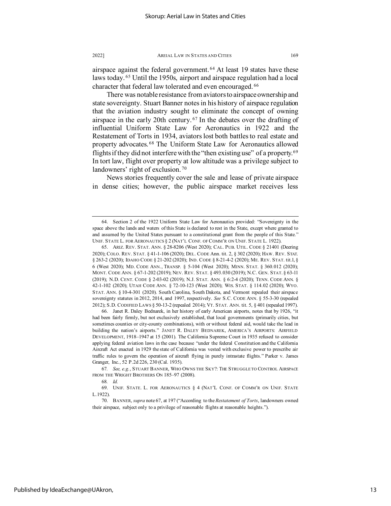There was notable resistance from aviators to airspace ownership and state sovereignty. Stuart Banner notes in his history of airspace regulation that the aviation industry sought to eliminate the concept of owning airspace in the early 20th century. [67](#page-13-3) In the debates over the drafting of influential Uniform State Law for Aeronautics in 1922 and the Restatement of Torts in 1934, aviators lost both battles to real estate and property advocates. [68](#page-13-4) The Uniform State Law for Aeronautics allowed flights if they did not interfere with the "then existing use" of a property.<sup>[69](#page-13-5)</sup> In tort law, flight over property at low altitude was a privilege subject to landowners' right of exclusion. [70](#page-13-6)

News stories frequently cover the sale and lease of private airspace in dense cities; however, the public airspace market receives less

<span id="page-13-2"></span>66. Janet R. Daley Bednarek, in her history of early American airports, notes that by 1926, "it had been fairly firmly, but not exclusively established, that local governments (primarily cities, but sometimes counties or city-county combinations), with or without federal aid, would take the lead in building the nation's airports." JANET R. DALEY BEDNAREK, AMERICA'S AIRPORTS: AIRFIELD DEVELOPMENT, 1918–1947 at 15 (2001). The California Supreme Court in 1935 refused to consider applying federal aviation laws in the case because "under the federal Constitution and the California Aircraft Act enacted in 1929 the state of California was vested with exclusive power to prescribe air traffic rules to govern the operation of aircraft flying in purely intrastate flights." Parker v. James Granger, Inc., 52 P.2d 226, 230 (Cal. 1935).

<span id="page-13-0"></span><sup>64.</sup> Section 2 of the 1922 Uniform State Law for Aeronautics provided: "Sovereignty in the space above the lands and waters of this State is declared to rest in the State, except where granted to and assumed by the United States pursuant to a constitutional grant from the people of this State." UNIF. STATE L. FOR AERONAUTICS § 2 (NAT'L CONF. OF COMM'R ON UNIF. STATE L. 1922).

<span id="page-13-1"></span><sup>65.</sup> ARIZ. REV. STAT. ANN. § 28-8206 (West 2020); CAL. PUB. UTIL. CODE § 21401 (Deering 2020); COLO. REV. STAT. § 41-1-106 (2020); DEL. CODE Ann. tit. 2, § 302 (2020); HAW. REV. STAT. § 263-2 (2020); IDAHO CODE § 21-202 (2020); IND. CODE § 8-21-4-2 (2020); ME. REV. STAT. tit.1, § 6 (West 2020); MD. CODE ANN., TRANSP. § 5-104 (West 2020); MINN. STAT. § 360.012 (2020); MONT. CODE ANN. § 67-1-202 (2019); NEV. REV. STAT. § 493.030 (2019); N.C. GEN. STAT. § 63-11 (2019); N.D. CENT. CODE § 2-03-02 (2019); N.J. STAT. ANN. § 6:2-4 (2020); TENN. CODE ANN. § 42-1-102 (2020); UTAH CODE ANN. § 72-10-123 (West 2020); WIS. STAT. § 114.02 (2020); WYO. STAT. ANN. § 10-4-301 (2020). South Carolina, South Dakota, and Vermont repealed their airspace sovereignty statutes in 2012, 2014, and 1997, respectively. *See* S.C. CODE ANN. § 55-3-30 (repealed 2012); S.D. CODIFIED LAWS § 50-13-2 (repealed 2014); VT. STAT. ANN. tit. 5, § 401 (repealed 1997).

<span id="page-13-4"></span><span id="page-13-3"></span><sup>67</sup>*. See, e.g.*, STUART BANNER, WHO OWNS THE SKY?: THE STRUGGLE TO CONTROL AIRSPACE FROM THE WRIGHT BROTHERS ON 185-97 (2008).

<sup>68</sup>*. Id.*

<span id="page-13-5"></span><sup>69.</sup> UNIF. STATE. L. FOR AERONAUTICS § 4 (NAT'L CONF. OF COMM'R ON UNIF. STATE L.1922).

<span id="page-13-6"></span><sup>70.</sup> BANNER, *supra* note 67, at 197 ("According to the *Restatement of Torts*, landowners owned their airspace, subject only to a privilege of reasonable flights at reasonable heights.").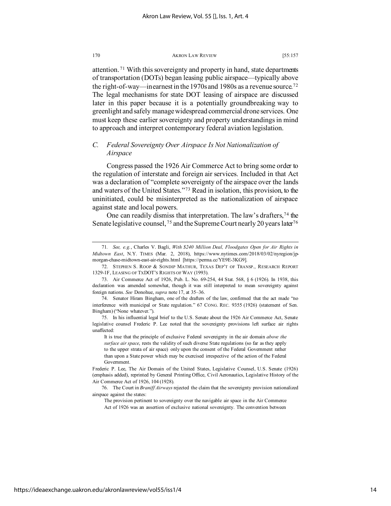attention. [71](#page-14-0) With this sovereignty and property in hand, state departments of transportation (DOTs) began leasing public airspace—typically above the right-of-way—in earnest in the 1970s and 1980s as a revenue source.[72](#page-14-1) The legal mechanisms for state DOT leasing of airspace are discussed later in this paper because it is a potentially groundbreaking way to greenlight and safely manage widespread commercial drone services. One must keep these earlier sovereignty and property understandings in mind to approach and interpret contemporary federal aviation legislation.

### *C. Federal Sovereignty Over Airspace Is Not Nationalization of Airspace*

Congress passed the 1926 Air Commerce Act to bring some order to the regulation of interstate and foreign air services. Included in that Act was a declaration of "complete sovereignty of the airspace over the lands and waters of the United States."[73](#page-14-2) Read in isolation, this provision, to the uninitiated, could be misinterpreted as the nationalization of airspace against state and local powers.

One can readily dismiss that interpretation. The law's drafters,<sup>[74](#page-14-3)</sup> the Senate legislative counsel,  $75$  and the Supreme Court nearly 20 years later  $76$ 

It is true that the principle of exclusive Federal sovereignty in the air domain *above the surface air space*, rests the validity of such diverse State regulations (so far as they apply to the upper strata of air space) only upon the consent of the Federal Government rather than upon a State power which may be exercised irrespective of the action of the Federal Government.

<span id="page-14-0"></span><sup>71</sup>*. See, e.g.*, Charles V. Bagli, *With \$240 Million Deal, Floodgates Open for Air Rights in Midtown East*, N.Y. TIMES (Mar. 2, 2018), https://www.nytimes.com/2018/03/02/nyregion/jpmorgan-chase-midtown-east-air-rights.html [https://perma.cc/YE9E-3KG9].

<span id="page-14-1"></span><sup>72.</sup> STEPHEN S. ROOP & SONDIP MATHUR, TEXAS DEP'T OF TRANSP., RESEARCH REPORT 1329-1F, LEASING OF TXDOT'S RIGHTS OF WAY (1993).

<span id="page-14-2"></span><sup>73.</sup> Air Commerce Act of 1926, Pub. L. No. 69-254, 44 Stat. 568, § 6 (1926). In 1938, this declaration was amended somewhat, though it was still interpreted to mean sovereignty against foreign nations. *See* Donohue, *supra* note 17, at 35–36.

<span id="page-14-3"></span><sup>74.</sup> Senator Hiram Bingham, one of the drafters of the law, confirmed that the act made "no interference with municipal or State regulation." 67 CONG. REC. 9355 (1926) (statement of Sen. Bingham) ("None whatever.").

<span id="page-14-4"></span><sup>75.</sup> In his influential legal brief to the U.S. Senate about the 1926 Air Commerce Act, Senate legislative counsel Frederic P. Lee noted that the sovereignty provisions left surface air rights unaffected:

Frederic P. Lee, The Air Domain of the United States, Legislative Counsel, U.S. Senate (1926) (emphasis added), reprinted by General Printing Office, Civil Aeronautics, Legislative History of the Air Commerce Act of 1926, 104 (1928).

<span id="page-14-5"></span><sup>76.</sup> The Court in *Braniff Airways* rejected the claim that the sovereignty provision nationalized airspace against the states:

The provision pertinent to sovereignty over the navigable air space in the Air Commerce Act of 1926 was an assertion of exclusive national sovereignty. The convention between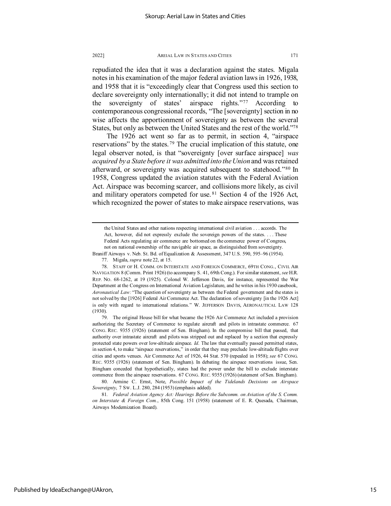repudiated the idea that it was a declaration against the states. Migala notes in his examination of the major federal aviation laws in 1926, 1938, and 1958 that it is "exceedingly clear that Congress used this section to declare sovereignty only internationally; it did not intend to trample on the sovereignty of states' airspace rights."[77](#page-15-0) According to contemporaneous congressional records, "The [sovereignty] section in no wise affects the apportionment of sovereignty as between the several States, but only as between the United States and the rest of the world.["78](#page-15-1)

The 1926 act went so far as to permit, in section 4, "airspace reservations" by the states.<sup>[79](#page-15-2)</sup> The crucial implication of this statute, one legal observer noted, is that "sovereignty [over surface airspace] *was acquired by a State before it was admitted into the Union* and was retained afterward, or sovereignty was acquired subsequent to statehood."[80](#page-15-3) In 1958, Congress updated the aviation statutes with the Federal Aviation Act. Airspace was becoming scarcer, and collisions more likely, as civil and military operators competed for use. [81](#page-15-4) Section 4 of the 1926 Act, which recognized the power of states to make airspace reservations, was

<span id="page-15-2"></span>79. The original House bill for what became the 1926 Air Commerce Act included a provision authorizing the Secretary of Commerce to regulate aircraft and pilots in intrastate commerce. 67 CONG. REC. 9355 (1926) (statement of Sen. Bingham). In the compromise bill that passed, that authority over intrastate aircraft and pilots was stripped out and replaced by a section that expressly protected state powers over low-altitude airspace. *Id*. The law that eventually passed permitted states, in section 4, to make "airspace reservations," in order that they may preclude low-altitude flights over cities and sports venues. Air Commerce Act of 1926, 44 Stat. 570 (repealed in 1958); *see* 67 CONG. REC. 9355 (1926) (statement of Sen. Bingham). In debating the airspace reservations issue, Sen. Bingham conceded that hypothetically, states had the power under the bill to exclude interstate commerce from the airspace reservations. 67 CONG. REC. 9355 (1926) (statement of Sen. Bingham).

the United States and other nations respecting international civil aviation . . . accords. The Act, however, did not expressly exclude the sovereign powers of the states. . . . These Federal Acts regulating air commerce are bottomed on the commerce power of Congress, not on national ownership of the navigable air space, as distinguished from sovereignty.

Braniff Airways v. Neb. St. Bd. of Equalization & Assessment, 347 U.S. 590, 595–96 (1954). 77. Migala, *supra* note 22, at 15.

<span id="page-15-1"></span><span id="page-15-0"></span><sup>78.</sup> STAFF OF H. COMM. ON INTERSTATE AND FOREIGN COMMERCE, 69TH CONG., CIVIL AIR NAVIGATION 8 (Comm. Print 1926) (to accompany S. 41, 69th Cong.). For similar statement, *see* H.R. REP. NO. 68-1262, at 19 (1925). Colonel W. Jefferson Davis, for instance, represented the War Department at the Congress on International Aviation Legislature, and he writes in his 1930 casebook, *Aeronautical Law:* "The question of sovereignty as between the Federal government and the states is not solved by the [1926] Federal Air Commerce Act. The declaration of sovereignty [in the 1926 Act] is only with regard to international relations." W. JEFFERSON DAVIS, AERONAUTICAL LAW 128 (1930).

<span id="page-15-3"></span><sup>80.</sup> Armine C. Ernst, Note, *Possible Impact of the Tidelands Decisions on Airspace Sovereignty*, 7 SW. L.J. 280, 284 (1953) (emphasis added).

<span id="page-15-4"></span><sup>81</sup>*. Federal Aviation Agency Act: Hearings Before the Subcomm. on Aviation of the S. Comm. on Interstate & Foreign Com.*, 85th Cong. 151 (1958) (statement of E. R. Quesada, Chairman, Airways Modernization Board).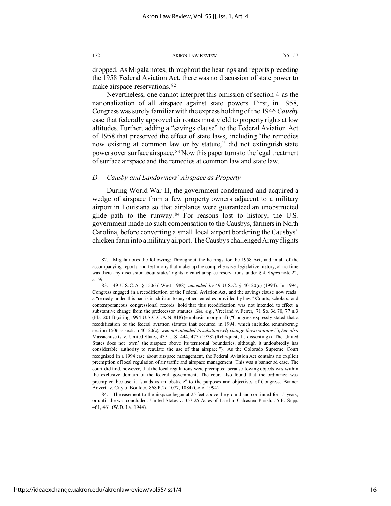dropped. As Migala notes, throughout the hearings and reports preceding the 1958 Federal Aviation Act, there was no discussion of state power to make airspace reservations. [82](#page-16-0)

Nevertheless, one cannot interpret this omission of section 4 as the nationalization of all airspace against state powers. First, in 1958, Congress was surely familiar with the express holding of the 1946 *Causby* case that federally approved air routes must yield to property rights at low altitudes. Further, adding a "savings clause" to the Federal Aviation Act of 1958 that preserved the effect of state laws, including "the remedies now existing at common law or by statute," did not extinguish state powers over surface airspace. [83](#page-16-1) Now this paper turns to the legal treatment of surface airspace and the remedies at common law and state law.

### *D. Causby and Landowners' Airspace as Property*

During World War II, the government condemned and acquired a wedge of airspace from a few property owners adjacent to a military airport in Louisiana so that airplanes were guaranteed an unobstructed glide path to the runway. [84](#page-16-2) For reasons lost to history, the U.S. government made no such compensation to the Causbys, farmers in North Carolina, before converting a small local airport bordering the Causbys' chicken farm into a military airport. The Causbys challenged Army flights

<span id="page-16-0"></span><sup>82.</sup> Migala notes the following: Throughout the hearings for the 1958 Act, and in all of the accompanying reports and testimony that make up the comprehensive legislative history, at no time was there any discussion about states' rights to enact airspace reservations under § 4. S*upra* note 22, at 59.

<span id="page-16-1"></span><sup>83.</sup> 49 U.S.C.A. § 1506 ( West 1988), *amended by* 49 U.S.C. § 40120(c) (1994). In 1994, Congress engaged in a recodification of the Federal Aviation Act, and the savings clause now reads: a "remedy under this part is in addition to any other remedies provided by law." Courts, scholars, and contemporaneous congressional records hold that this recodification was not intended to effect a substantive change from the predecessor statutes. *See, e.g.*, Vreeland v. Ferrer, 71 So. 3d 70, 77 n.3 (Fla. 2011) (citing 1994 U.S.C.C.A.N. 818) (emphasis in original) ("Congress expressly stated that a recodification of the federal aviation statutes that occurred in 1994, which included renumbering section 1506 as section 40120(c), was *not intended to substantively change those statutes*."); *See also* Massachusetts v. United States, 435 U.S. 444, 473 (1978) (Rehnquist, J., dissenting) ("The United States does not 'own' the airspace above its territorial boundaries, although it undoubtedly has considerable authority to regulate the use of that airspace."). As the Colorado Supreme Court recognized in a 1994 case about airspace management, the Federal Aviation Act contains no explicit preemption of local regulation of air traffic and airspace management. This was a banner ad case. The court did find, however, that the local regulations were preempted because towing objects was within the exclusive domain of the federal government. The court also found that the ordinance was preempted because it "stands as an obstacle" to the purposes and objectives of Congress. Banner Advert. v. City of Boulder, 868 P.2d 1077, 1084 (Colo. 1994).

<span id="page-16-2"></span><sup>84.</sup> The easement to the airspace began at 25 feet above the ground and continued for 15 years, or until the war concluded. United States v. 357.25 Acres of Land in Calcasieu Parish, 55 F. Supp. 461, 461 (W.D. La. 1944).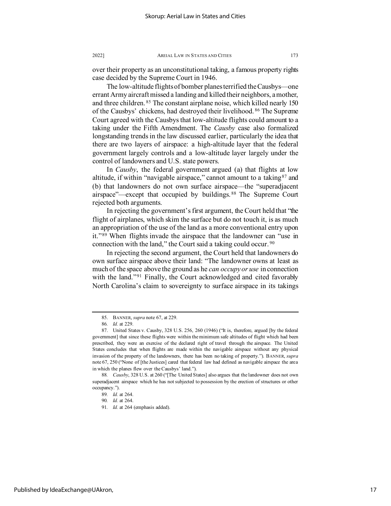over their property as an unconstitutional taking, a famous property rights case decided by the Supreme Court in 1946.

The low-altitude flights of bomber planes terrified the Causbys—one errant Army aircraft missed a landing and killed their neighbors, a mother, and three children. [85](#page-17-0) The constant airplane noise, which killed nearly 150 of the Causbys' chickens, had destroyed their livelihood. [86](#page-17-1) The Supreme Court agreed with the Causbys that low-altitude flights could amount to a taking under the Fifth Amendment. The *Causby* case also formalized longstanding trends in the law discussed earlier, particularly the idea that there are two layers of airspace: a high-altitude layer that the federal government largely controls and a low-altitude layer largely under the control of landowners and U.S. state powers.

In *Causby*, the federal government argued (a) that flights at low altitude, if within "navigable airspace," cannot amount to a taking  $87$  and (b) that landowners do not own surface airspace—the "superadjacent airspace"—except that occupied by buildings. [88](#page-17-3) The Supreme Court rejected both arguments.

In rejecting the government's first argument, the Court held that "the flight of airplanes, which skim the surface but do not touch it, is as much an appropriation of the use of the land as a more conventional entry upon it."[89](#page-17-4) When flights invade the airspace that the landowner can "use in connection with the land," the Court said a taking could occur. [90](#page-17-5)

In rejecting the second argument, the Court held that landowners do own surface airspace above their land: "The landowner owns at least as much of the space above the ground as he *can occupy or use* in connection with the land."<sup>[91](#page-17-6)</sup> Finally, the Court acknowledged and cited favorably North Carolina's claim to sovereignty to surface airspace in its takings

<sup>85.</sup> BANNER, *supra* note 67, at 229.

<sup>86</sup>*. Id.* at 229.

<span id="page-17-2"></span><span id="page-17-1"></span><span id="page-17-0"></span><sup>87.</sup> United States v. Causby, 328 U.S. 256, 260 (1946) ("It is, therefore, argued [by the federal government] that since these flights were within the minimum safe altitudes of flight which had been prescribed, they were an exercise of the declared right of travel through the airspace. The United States concludes that when flights are made within the navigable airspace without any physical invasion of the property of the landowners, there has been no taking of property."). BANNER, *supra* note 67, 250 ("None of [the Justices] cared that federal law had defined as navigable airspace the area in which the planes flew over the Causbys' land.").

<span id="page-17-6"></span><span id="page-17-5"></span><span id="page-17-4"></span><span id="page-17-3"></span><sup>88</sup>*. Causby*, 328 U.S. at 260 ("[The United States] also argues that the landowner does not own superadjacent airspace which he has not subjected to possession by the erection of structures or other occupancy.").

<sup>89</sup>*. Id.* at 264.

<sup>90</sup>*. Id.* at 264.

<sup>91</sup>*. Id.* at 264 (emphasis added).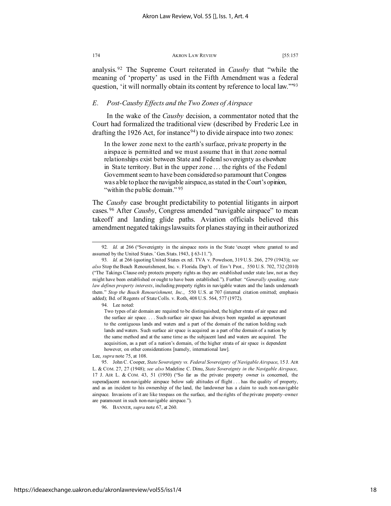analysis. [92](#page-18-0) The Supreme Court reiterated in *Causby* that "while the meaning of 'property' as used in the Fifth Amendment was a federal question, 'it will normally obtain its content by reference to local law.'["93](#page-18-1)

### *E. Post-Causby Effects and the Two Zones of Airspace*

In the wake of the *Causby* decision, a commentator noted that the Court had formalized the traditional view (described by Frederic Lee in drafting the 1926 Act, for instance  $94$ ) to divide airspace into two zones:

In the lower zone next to the earth's surface, private property in the airspace is permitted and we must assume that in that zone normal relationships exist between State and Federal sovereignty as elsewhere in State territory. But in the upper zone . . . the rights of the Federal Government seem to have been considered so paramount that Congress was able to place the navigable airspace, as stated in the Court's opinion, "within the public domain." [95](#page-18-3)

The *Causby* case brought predictability to potential litigants in airport cases. [96](#page-18-4) After *Causby*, Congress amended "navigable airspace" to mean takeoff and landing glide paths. Aviation officials believed this amendment negated takings lawsuits for planes staying in their authorized

<span id="page-18-0"></span><sup>92</sup>*. Id.* at 266 ("Sovereignty in the airspace rests in the State 'except where granted to and assumed by the United States.' Gen.Stats.1943, § 63-11.").

<span id="page-18-1"></span><sup>93</sup>*. Id.* at 266 (quoting United States ex rel. TVA v. Powelson, 319 U.S. 266, 279 (1943)); *see also* Stop the Beach Renourishment, Inc. v. Florida. Dep't. of Env't Prot., 550 U.S. 702, 732 (2010) ("The Takings Clause only protects property rights as they are established under state law, not as they might have been established or ought to have been established."). Further: "*Generally speaking, state law defines property interests*, including property rights in navigable waters and the lands underneath them." *Stop the Beach Renourishment, Inc*., 550 U.S. at 707 (internal citation omitted; emphasis added); Bd. of Regents of State Colls. v. Roth, 408 U.S. 564, 577 (1972).

<span id="page-18-2"></span><sup>94.</sup> Lee noted:

Two types of air domain are required to be distinguished, the higher strata of air space and the surface air space. . . . Such surface air space has always been regarded as appurtenant to the contiguous lands and waters and a part of the domain of the nation holding such lands and waters. Such surface air space is acquired as a part of the domain of a nation by the same method and at the same time as the subjacent land and waters are acquired. The acquisition, as a part of a nation's domain, of the higher strata of air space is dependent however, on other considerations [namely, international law].

Lee, *supra* note 75, at 108.

<span id="page-18-3"></span><sup>95.</sup> John C. Cooper, *State Sovereignty vs. Federal Sovereignty of Navigable Airspace*, 15 J. AIR L. & COM. 27, 27 (1948); *see also* Madeline C. Dinu, *State Sovereignty in the Navigable Airspace*, 17 J. AIR L. & COM. 43, 51 (1950) ("So far as the private property owner is concerned, the superadjacent non-navigable airspace below safe altitudes of flight . . . has the quality of property, and as an incident to his ownership of the land, the landowner has a claim to such non-navigable airspace. Invasions of it are like trespass on the surface, and the rights of the private property–owner are paramount in such non-navigable airspace.").

<span id="page-18-4"></span><sup>96.</sup> BANNER, *supra* note 67, at 260.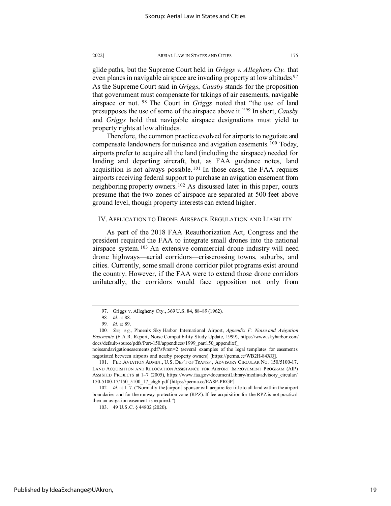glide paths, but the Supreme Court held in *Griggs v. Allegheny Cty.* that even planes in navigable airspace are invading property at low altitudes.<sup>[97](#page-19-0)</sup> As the Supreme Court said in *Griggs*, *Causby* stands for the proposition that government must compensate for takings of air easements, navigable airspace or not. [98](#page-19-1) The Court in *Griggs* noted that "the use of land presupposes the use of some of the airspace above it."[99](#page-19-2) In short, *Causby* and *Griggs* hold that navigable airspace designations must yield to property rights at low altitudes.

Therefore, the common practice evolved for airports to negotiate and compensate landowners for nuisance and avigation easements. [100](#page-19-3) Today, airports prefer to acquire all the land (including the airspace) needed for landing and departing aircraft, but, as FAA guidance notes, land acquisition is not always possible.  $101$  In those cases, the FAA requires airports receiving federal support to purchase an avigation easement from neighboring property owners. [102](#page-19-5) As discussed later in this paper, courts presume that the two zones of airspace are separated at 500 feet above ground level, though property interests can extend higher.

### IV. APPLICATION TO DRONE AIRSPACE REGULATION AND LIABILITY

As part of the 2018 FAA Reauthorization Act, Congress and the president required the FAA to integrate small drones into the national airspace system. [103](#page-19-6) An extensive commercial drone industry will need drone highways—aerial corridors—crisscrossing towns, suburbs, and cities. Currently, some small drone corridor pilot programs exist around the country. However, if the FAA were to extend those drone corridors unilaterally, the corridors would face opposition not only from

<span id="page-19-6"></span>

<sup>97.</sup> Griggs v. Allegheny Cty., 369 U.S. 84, 88–89 (1962).

<sup>98</sup>*. Id.* at 88.

<sup>99</sup>*. Id.* at 89.

<span id="page-19-3"></span><span id="page-19-2"></span><span id="page-19-1"></span><span id="page-19-0"></span><sup>100</sup>*. See, e.g.*, Phoenix Sky Harbor International Airport, *Appendix F: Noise and Avigation Easements* (F.A.R. Report, Noise Compatibility Study Update, 1999), https://www.skyharbor.com/ docs/default-source/pdfs/Part-150/appendices/1999\_part150\_appendixf\_

noiseandavigationeasements.pdf?sfvrsn=2 (several examples of the legal templates for easements negotiated between airports and nearby property owners) [https://perma.cc/WB2H-84XQ].

<span id="page-19-4"></span><sup>101.</sup> FED.AVIATION ADMIN., U.S. DEP'T OF TRANSP., ADVISORY CIRCULAR NO. 150/5100-17, LAND ACQUISITION AND RELOCATION ASSISTANCE FOR AIRPORT IMPROVEMENT PROGRAM (AIP) ASSISTED PROJECTS at 1–7 (2005), https://www.faa.gov/documentLibrary/media/advisory\_circular/ 150-5100-17/150\_5100\_17\_chg6.pdf [https://perma.cc/EA8P-PRGP].

<span id="page-19-5"></span><sup>102</sup>*. Id.* at 1–7. ("Normally the [airport] sponsor will acquire fee title to all land within the airport boundaries and for the runway protection zone (RPZ). If fee acquisition for the RPZ is not practical then an avigation easement is required.")

<sup>103.</sup> 49 U.S.C. § 44802 (2020).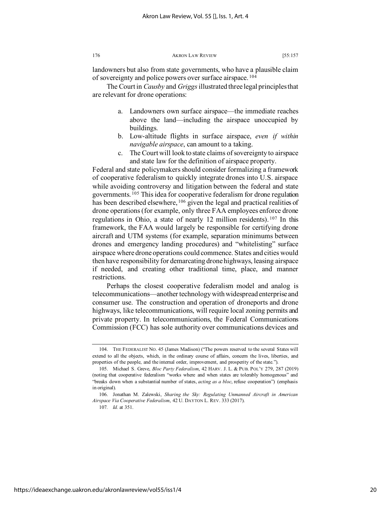landowners but also from state governments, who have a plausible claim of sovereignty and police powers over surface airspace. [104](#page-20-0)

The Court in *Causby* and *Griggs*illustrated three legal principles that are relevant for drone operations:

- a. Landowners own surface airspace—the immediate reaches above the land—including the airspace unoccupied by buildings.
- b. Low-altitude flights in surface airspace, *even if within navigable airspace*, can amount to a taking.
- c. The Court will look to state claims of sovereignty to airspace and state law for the definition of airspace property.

Federal and state policymakers should consider formalizing a framework of cooperative federalism to quickly integrate drones into U.S. airspace while avoiding controversy and litigation between the federal and state governments. [105](#page-20-1) This idea for cooperative federalism for drone regulation has been described elsewhere, <sup>[106](#page-20-2)</sup> given the legal and practical realities of drone operations (for example, only three FAA employees enforce drone regulations in Ohio, a state of nearly 12 million residents). [107](#page-20-3) In this framework, the FAA would largely be responsible for certifying drone aircraft and UTM systems (for example, separation minimums between drones and emergency landing procedures) and "whitelisting" surface airspace where drone operations could commence. States and cities would then have responsibility for demarcating drone highways, leasing airspace if needed, and creating other traditional time, place, and manner restrictions.

Perhaps the closest cooperative federalism model and analog is telecommunications—another technology with widespread enterprise and consumer use. The construction and operation of droneports and drone highways, like telecommunications, will require local zoning permits and private property. In telecommunications, the Federal Communications Commission (FCC) has sole authority over communications devices and

107*. Id.* at 351.

<span id="page-20-0"></span><sup>104.</sup> THE FEDERALIST NO. 45 (James Madison) ("The powers reserved to the several States will extend to all the objects, which, in the ordinary course of affairs, concern the lives, liberties, and properties of the people, and the internal order, improvement, and prosperity of the state.").

<span id="page-20-1"></span><sup>105.</sup> Michael S. Greve, *Bloc Party Federalism*, 42 HARV. J. L. & PUB. POL'Y 279, 287 (2019) (noting that cooperative federalism "works where and when states are tolerably homogenous" and "breaks down when a substantial number of states, *acting as a bloc*, refuse cooperation") (emphasis in original).

<span id="page-20-3"></span><span id="page-20-2"></span><sup>106.</sup> Jonathan M. Zalewski, *Sharing the Sky: Regulating Unmanned Aircraft in American Airspace Via Cooperative Federalism*, 42 U. DAYTON L. REV. 333 (2017).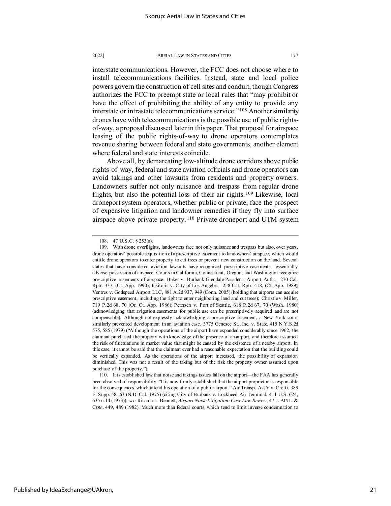interstate communications. However, the FCC does not choose where to install telecommunications facilities. Instead, state and local police powers govern the construction of cell sites and conduit, though Congress authorizes the FCC to preempt state or local rules that "may prohibit or have the effect of prohibiting the ability of any entity to provide any interstate or intrastate telecommunications service."<sup>[108](#page-21-0)</sup> Another similarity drones have with telecommunications is the possible use of public rightsof-way, a proposal discussed later in this paper. That proposal for airspace leasing of the public rights-of-way to drone operators contemplates revenue sharing between federal and state governments, another element where federal and state interests coincide.

Above all, by demarcating low-altitude drone corridors above public rights-of-way, federal and state aviation officials and drone operators can avoid takings and other lawsuits from residents and property owners. Landowners suffer not only nuisance and trespass from regular drone flights, but also the potential loss of their air rights. [109](#page-21-1) Likewise, local droneport system operators, whether public or private, face the prospect of expensive litigation and landowner remedies if they fly into surface airspace above private property.<sup>[110](#page-21-2)</sup> Private droneport and UTM system

<sup>108.</sup> 47 U.S.C. § 253(a).

<span id="page-21-1"></span><span id="page-21-0"></span><sup>109.</sup> With drone overflights, landowners face not only nuisance and trespass but also, over years, drone operators' possible acquisition of a prescriptive easement to landowners' airspace, which would entitle drone operators to enter property to cut trees or prevent new construction on the land. Several states that have considered aviation lawsuits have recognized prescriptive easements—essentially adverse possession of airspace. Courts in California, Connecticut, Oregon, and Washington recognize prescriptive easements of airspace. Baker v. Burbank-Glendale-Pasadena Airport Auth., 270 Cal. Rptr. 337, (Ct. App. 1990); Insitoris v. City of Los Angeles, 258 Cal. Rptr. 418, (Ct. App. 1989); Ventres v. Godspeed Airport LLC, 881 A.2d 937, 949 (Conn. 2005) (holding that airports can acquire prescriptive easement, including the right to enter neighboring land and cut trees); Christie v. Miller, 719 P.2d 68, 70 (Or. Ct. App. 1986); Petersen v. Port of Seattle, 618 P.2d 67, 70 (Wash. 1980) (acknowledging that avigation easements for public use can be prescriptively acquired and are not compensable). Although not expressly acknowledging a prescriptive easement, a New York court similarly prevented development in an aviation case. 3775 Genesee St., Inc. v. State, 415 N.Y.S.2d 575, 585 (1979) ("Although the operations of the airport have expanded considerably since 1962, the claimant purchased the property with knowledge of the presence of an airport, and therefore assumed the risk of fluctuations in market value that might be caused by the existence of a nearby airport. In this case, it cannot be said that the claimant ever had a reasonable expectation that the building could be vertically expanded. As the operations of the airport increased, the possibility of expansion diminished. This was not a result of the taking but of the risk the property owner assumed upon purchase of the property.").

<span id="page-21-2"></span><sup>110.</sup> It is established law that noise and takings issues fall on the airport—the FAA has generally been absolved of responsibility. "It is now firmly established that the airport proprietor is responsible for the consequences which attend his operation of a public airport." Air Transp. Ass'n v. Crotti, 389 F. Supp. 58, 63 (N.D. Cal. 1975) (citing City of Burbank v. Lockheed Air Terminal, 411 U.S. 624, 635 n.14 (1973)); *see* Ricarda L. Bennett, *Airport Noise Litigation: Case Law Review*, 47 J. AIR L. & COM. 449, 489 (1982). Much more than federal courts, which tend to limit inverse condemnation to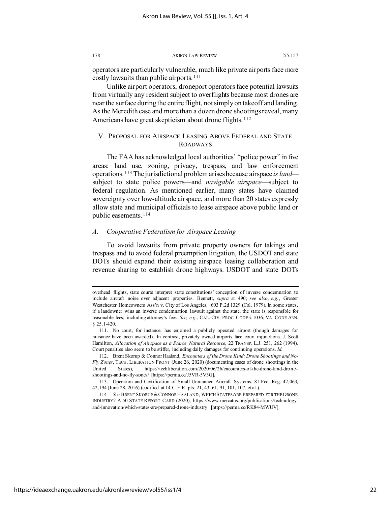operators are particularly vulnerable, much like private airports face more costly lawsuits than public airports. [111](#page-22-0)

Unlike airport operators, droneport operators face potential lawsuits from virtually any resident subject to overflights because most drones are near the surface during the entire flight, not simply on takeoff and landing. As the Meredith case and more than a dozen drone shootings reveal, many Americans have great skepticism about drone flights.<sup>[112](#page-22-1)</sup>

### V. PROPOSAL FOR AIRSPACE LEASING ABOVE FEDERAL AND STATE ROADWAYS

The FAA has acknowledged local authorities' "police power" in five areas: land use, zoning, privacy, trespass, and law enforcement operations. [113](#page-22-2) The jurisdictional problem arises because airspace *is land* subject to state police powers—and *navigable airspace*—subject to federal regulation. As mentioned earlier, many states have claimed sovereignty over low-altitude airspace, and more than 20 states expressly allow state and municipal officials to lease airspace above public land or public easements. [114](#page-22-3)

### *A. Cooperative Federalism for Airspace Leasing*

To avoid lawsuits from private property owners for takings and trespass and to avoid federal preemption litigation, the USDOT and state DOTs should expand their existing airspace leasing collaboration and revenue sharing to establish drone highways. USDOT and state DOTs

overhead flights, state courts interpret state constitutions' conception of inverse condemnation to include aircraft noise over adjacent properties. Bennett, *supra* at 490; *see also*, *e.g.*, Greater Westchester Homeowners Ass'n v. City of Los Angeles, 603 P.2d 1329 (Cal. 1979). In some states, if a landowner wins an inverse condemnation lawsuit against the state, the state is responsible for reasonable fees, including attorney's fees. *See, e.g*., CAL. CIV. PROC. CODE § 1036; VA. CODE ANN. § 25.1-420.

<span id="page-22-0"></span><sup>111.</sup> No court, for instance, has enjoined a publicly operated airport (though damages for nuisance have been awarded). In contrast, privately owned airports face court injunctions. J. Scott Hamilton, *Allocation of Airspace as a Scarce Natural Resource*, 22 TRANSP. L.J. 251, 262 (1994). Court penalties also seem to be stiffer, including daily damages for continuing operations. *Id.*

<span id="page-22-1"></span><sup>112.</sup> Brent Skorup & Connor Haaland, *Encounters of the Drone Kind: Drone Shootings and No-Fly Zones*, TECH. LIBERATION FRONT (June 26, 2020) (documenting cases of drone shootings in the United States), https://techliberation.com/2020/06/26/encounters-of-the-drone-kind-droneshootings-and-no-fly-zones/ **[**https://perma.cc/J5VR-5V3G**].**

<span id="page-22-2"></span><sup>113.</sup> Operation and Certification of Small Unmanned Aircraft Systems, 81 Fed. Reg. 42,063, 42,194 (June 28, 2016) (codified at 14 C.F.R. pts. 21, 43, 61, 91, 101, 107, et al.).

<span id="page-22-3"></span><sup>114</sup>*. See* BRENT SKORUP &CONNOR HAALAND, WHICH STATES ARE PREPARED FOR THE DRONE INDUSTRY? A 50-STATE REPORT CARD (2020), https://www.mercatus.org/publications/technologyand-innovation/which-states-are-prepared-drone-industry [https://perma.cc/RK84-MWUV].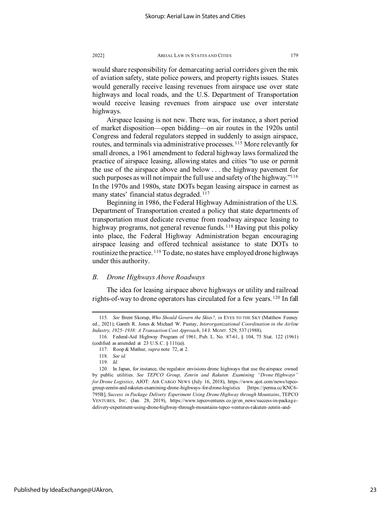would share responsibility for demarcating aerial corridors given the mix of aviation safety, state police powers, and property rights issues. States would generally receive leasing revenues from airspace use over state highways and local roads, and the U.S. Department of Transportation would receive leasing revenues from airspace use over interstate highways.

Airspace leasing is not new. There was, for instance, a short period of market disposition—open bidding—on air routes in the 1920s until Congress and federal regulators stepped in suddenly to assign airspace, routes, and terminals via administrative processes. [115](#page-23-0) More relevantly for small drones, a 1961 amendment to federal highway laws formalized the practice of airspace leasing, allowing states and cities "to use or permit the use of the airspace above and below . . . the highway pavement for such purposes as will not impair the full use and safety of the highway."<sup>116</sup> In the 1970s and 1980s, state DOTs began leasing airspace in earnest as many states' financial status degraded. [117](#page-23-2)

Beginning in 1986, the Federal Highway Administration of the U.S. Department of Transportation created a policy that state departments of transportation must dedicate revenue from roadway airspace leasing to highway programs, not general revenue funds.<sup>[118](#page-23-3)</sup> Having put this policy into place, the Federal Highway Administration began encouraging airspace leasing and offered technical assistance to state DOTs to routinize the practice. <sup>[119](#page-23-4)</sup> To date, no states have employed drone highways under this authority.

### *B. Drone Highways Above Roadways*

The idea for leasing airspace above highways or utility and railroad rights-of-way to drone operators has circulated for a few years. [120](#page-23-5) In fall

<span id="page-23-0"></span><sup>115</sup>*. See* Brent Skorup, *Who Should Govern the Skies?, in* EYES TO THE SKY (Matthew Feeney ed., 2021); Gareth R. Jones & Michael W. Pustay, *Interorganizational Coordination in the Airline Industry, 1925–1938: A Transaction Cost Approach*, 14 J. MGMT. 529, 537 (1988).

<span id="page-23-2"></span><span id="page-23-1"></span><sup>116.</sup> Federal-Aid Highway Program of 1961, Pub. L. No. 87-61, § 104, 75 Stat. 122 (1961) (codified as amended at 23 U.S.C. § 111(a)).

<sup>117.</sup> Roop & Mathur, *supra* note 72, at 2.

<sup>118</sup>*. See id.*

<sup>119</sup>*. Id.*

<span id="page-23-5"></span><span id="page-23-4"></span><span id="page-23-3"></span><sup>120.</sup> In Japan, for instance, the regulator envisions drone highways that use the airspace owned by public utilities. *See TEPCO Group, Zenrin and Rakuten Examining "Drone Highways" for Drone Logistics*, AJOT: AIR CARGO NEWS (July 16, 2018), https://www.ajot.com/news/tepcogroup-zenrin-and-rakuten-examining-drone-highways-for-drone-logistics [https://perma.cc/KNC6- 795B]; *Success in Package Delivery Experiment Using Drone Highway through Mountains*, TEPCO VENTURES, INC. (Jan. 28, 2019), https://www.tepcoventures.co.jp/en\_news/success-in-packagedelivery-experiment-using-drone-highway-through-mountains-tepco-ventures-rakuten-zenrin-and-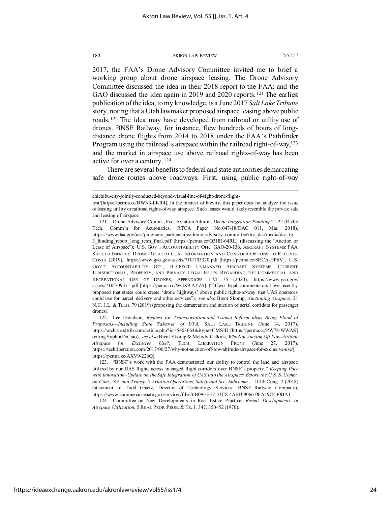2017, the FAA's Drone Advisory Committee invited me to brief a working group about drone airspace leasing. The Drone Advisory Committee discussed the idea in their 2018 report to the FAA; and the GAO discussed the idea again in 2019 and 2020 reports.<sup>[121](#page-24-0)</sup> The earliest publication of the idea, to my knowledge, is a June 2017 *Salt Lake Tribune* story, noting that a Utah lawmaker proposed airspace leasing above public roads. [122](#page-24-1) The idea may have developed from railroad or utility use of drones. BNSF Railway, for instance, flew hundreds of hours of longdistance drone flights from 2014 to 2018 under the FAA's Pathfinder Program using the railroad's airspace within the railroad right-of-way,<sup>123</sup> and the market in airspace use above railroad rights-of-way has been active for over a century. [124](#page-24-3)

There are several benefits to federal and state authorities demarcating safe drone routes above roadways. First, using public right-of-way

<span id="page-24-1"></span>drones). 122. Lee Davidson, *Request for Transportation and Transit Reform Ideas Bring Flood of Proposals—Including State Takeover of UTA*, SALT LAKE TRIBUNE (June 14, 2017), https://archive.sltrib.com/article.php?id=5403664&itype=CMSID [https://perma.cc/PW78-WWAS] (citing Sophia DiCaro); *see also* Brent Skorup & Melody Calkins, *Why Not Auction Off Low-Altitude Airspace for Exclusive Use?*, TECH. LIBERATION FRONT (June 27, 2017), https://techliberation.com/2017/06/27/why-not-auction-off-low-altitude-airspace-for-exclusive-use/[ https://perma.cc/AXV9-226Q].

<span id="page-24-3"></span>124. Committee on New Developments in Real Estate Practice, *Recent Developments in Airspace Utilization*, 5 REAL PROP. PROB. & TR. J. 347, 350–52 (1970).

chichibu-city-jointly-conducted-beyond-visual-line-of-sight-drone-flight-

test/[https://perma.cc/BWN3-LKR4]. In the interest of brevity, this paper does not analyze the issue of leasing utility or railroad rights-of-way airspace. Such leases would likely resemble the private sale and leasing of airspace.

<span id="page-24-0"></span><sup>121.</sup> Drone Advisory Comm., Fed. Aviation Admin., *Drone Integration Funding* 21 22 (Radio Tech. Comm'n for Aeuronatics, RTCA Paper No.047-18/DAC 011, Mar. 2018), https://www.faa.gov/uas/programs\_partnerships/drone\_advisory\_committee/rtca\_dac/media/dac\_tg 3 funding report long term final.pdf [https://perma.cc/Q3HH-64RL] (discussing the "Auction or Lease of Airspace"); U.S. GOV'T ACCOUNTABILITY OFF., GAO-20-136, AIRCRAFT SYSTEMS: FAA SHOULD IMPROVE DRONE-RELATED COST INFORMATION AND CONSIDER OPTIONS TO RECOVER COSTS (2019), https://www.gao.gov/assets/710/703320.pdf [https://perma.cc/8RCA-HP6V]; U.S. GOV'T ACCOUNTABILITY OFF., B-330570 UNMANNED AIRCRAFT SYSTEMS: CURRENT JURISDICTIONAL, PROPERTY, AND PRIVACY LEGAL ISSUES REGARDING THE COMMERCIAL AND RECREATIONAL USE OF DRONES, APPENDICES I–VI 35 (2020), https://www.gao.gov/ assets/710/709371.pdf [https://perma.cc/WGX9-AYZ5] ("[T]wo legal commentators have recently proposed that states could create 'drone highways' above public rights-of-way that UAS operators could use for parcel delivery and other services"); *see also* Brent Skorup, *Auctioning Airspace*, 21 N.C. J.L. & TECH. 79 (2019) (proposing the demarcation and auction of aerial corridors for passenger

<span id="page-24-2"></span><sup>123. &</sup>quot;BNSF's work with the FAA demonstrated our ability to control the land and airspace utilized by our UAS flights across managed flight corridors over BNSF's property." *Keeping Pace with Innovation*–*Update on the Safe Integration of UAS into the Airspace: Before the U.S. S. Comm. on Com., Sci. and Transp.'s Aviation Operations, Safety and Sec. Subcomm.*, 115th Cong. 2 (2018) (statement of Todd Graetz, Director of Technology Services: BNSF Railway Company), https://www.commerce.senate.gov/services/files/6B09FEF7-53C8-4AFD-9066-0FA19C430BA1.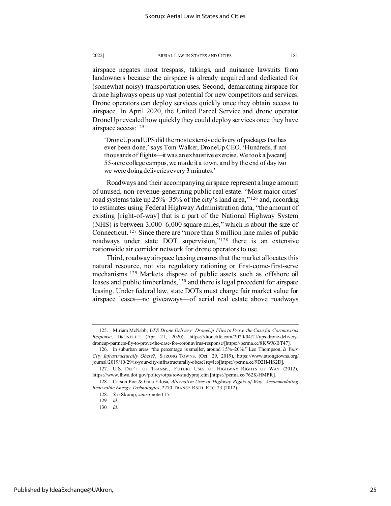airspace negates most trespass, takings, and nuisance lawsuits from landowners because the airspace is already acquired and dedicated for (somewhat noisy) transportation uses. Second, demarcating airspace for drone highways opens up vast potential for new competitors and services. Drone operators can deploy services quickly once they obtain access to airspace. In April 2020, the United Parcel Service and drone operator DroneUp revealed how quickly they could deploy services once they have airspace access: [125](#page-25-0)

'DroneUp and UPS did the most extensive delivery of packages that has ever been done,' says Tom Walker, DroneUp CEO. 'Hundreds, if not thousands of flights—it was an exhaustive exercise. We took a [vacant] 55-acre college campus, we made it a town, and by the end of day two we were doing deliveries every 3 minutes.'

Roadways and their accompanying airspace represent a huge amount of unused, non-revenue-generating public real estate. "Most major cities' road systems take up 25%–35% of the city's land area,"[126](#page-25-1) and, according to estimates using Federal Highway Administration data, "the amount of existing [right-of-way] that is a part of the National Highway System (NHS) is between 3,000–6,000 square miles," which is about the size of Connecticut. [127](#page-25-2) Since there are "more than 8 million lane miles of public roadways under state DOT supervision,"[128](#page-25-3) there is an extensive nationwide air corridor network for drone operators to use.

Third, roadway airspace leasing ensures that the market allocates this natural resource, not via regulatory rationing or first-come-first-serve mechanisms. [129](#page-25-4) Markets dispose of public assets such as offshore oil leases and public timberlands, [130](#page-25-5) and there is legal precedent for airspace leasing. Under federal law, state DOTs must charge fair market value for airspace leases—no giveaways—of aerial real estate above roadways

<span id="page-25-0"></span><sup>125.</sup> Miriam McNabb, *UPS Drone Delivery: DroneUp Flies to Prove the Case for Coronavirus Response*, DRONELIFE (Apr. 21, 2020), https://dronelife.com/2020/04/21/ups-drone-deliverydroneup-partners-fly-to-prove-the-case-for-coronavirus-response/[https://perma.cc/8KWX-BT47].

<span id="page-25-1"></span><sup>126.</sup> In suburban areas "the percentage is smaller, around 15%–20%." Leo Thompson, *Is Your City Infrastructurally Obese?*, STRONG TOWNS, (Oct. 29, 2019), https://www.strongtowns.org/ journal/2019/10/29/is-your-city-infrastructurally-obese?rq=leo[https://perma.cc/9D2H-HS2D].

<span id="page-25-2"></span><sup>127.</sup> U.S. DEP'T. OF TRANSP., FUTURE USES OF HIGHWAY RIGHTS OF WAY (2012), https://www.fhwa.dot.gov/policy/otps/rowstudyproj.cfm [https://perma.cc/762K-HMPR].

<span id="page-25-5"></span><span id="page-25-4"></span><span id="page-25-3"></span><sup>128.</sup> Carson Poe & Gina Filosa, *Alternative Uses of Highway Rights-of-Way: Accommodating Renewable Energy Technologies*, 2270 TRANSP. RSCH. REC. 23 (2012).

<sup>128.</sup> *See* Skorup, *supra* note 115.

<sup>129</sup>*. Id.*

<sup>130</sup>*. Id.*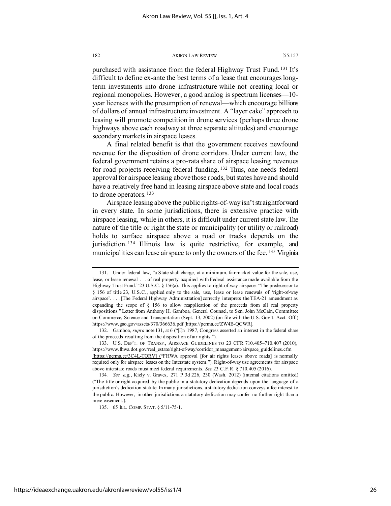purchased with assistance from the federal Highway Trust Fund. [131](#page-26-0) It's difficult to define ex-ante the best terms of a lease that encourages longterm investments into drone infrastructure while not creating local or regional monopolies. However, a good analog is spectrum licenses—10 year licenses with the presumption of renewal—which encourage billions of dollars of annual infrastructure investment. A "layer cake" approach to leasing will promote competition in drone services (perhaps three drone highways above each roadway at three separate altitudes) and encourage secondary markets in airspace leases.

A final related benefit is that the government receives newfound revenue for the disposition of drone corridors. Under current law, the federal government retains a pro-rata share of airspace leasing revenues for road projects receiving federal funding. [132](#page-26-1) Thus, one needs federal approval for airspace leasing above those roads, but states have and should have a relatively free hand in leasing airspace above state and local roads to drone operators. [133](#page-26-2)

Airspace leasing above the public rights-of-way isn't straightforward in every state. In some jurisdictions, there is extensive practice with airspace leasing, while in others, it is difficult under current state law. The nature of the title or right the state or municipality (or utility or railroad) holds to surface airspace above a road or tracks depends on the jurisdiction. [134](#page-26-3) Illinois law is quite restrictive, for example, and municipalities can lease airspace to only the owners of the fee. [135](#page-26-4) Virginia

<span id="page-26-1"></span>132. Gamboa, *supra* note 131, at 6 ("[I]n 1987, Congress asserted an interest in the federal share of the proceeds resulting from the disposition of air rights.").

<span id="page-26-2"></span>133. U.S. DEP'T. OF TRANSP., AIRSPACE GUIDELINES TO 23 CFR 710.405–710.407 (2010), https://www.fhwa.dot.gov/real\_estate/right-of-way/corridor\_management/airspace\_guidelines.cfm [https://perma.cc/3C4L-TQRV] ("FHWA approval [for air rights leases above roads] is normally required only for airspace leases on the Interstate system."). Right-of-way use agreements for airspace above interstate roads must meet federal requirements. *See* 23 C.F.R. § 710.405 (2016).

135. 65 ILL. COMP. STAT. § 5/11-75-1.

<span id="page-26-0"></span><sup>131.</sup> Under federal law, "a State shall charge, at a minimum, fair market value for the sale, use, lease, or lease renewal . . . of real property acquired with Federal assistance made available from the Highway Trust Fund." 23 U.S.C. § 156(a). This applies to right-of-way airspace: "The predecessor to § 156 of title 23, U.S.C., applied only to the sale, use, lease or lease renewals of 'right-of-way airspace'. . . . [The Federal Highway Administration] correctly interprets the TEA-21 amendment as expanding the scope of § 156 to allow reapplication of the proceeds from all real property dispositions." Letter from Anthony H. Gamboa, General Counsel, to Sen. John McCain, Committee on Commerce, Science and Transportation (Sept. 13, 2002) (on file with the U.S. Gov't. Acct. Off.) https://www.gao.gov/assets/370/366636.pdf [https://perma.cc/ZW4B-QCWR].

<span id="page-26-4"></span><span id="page-26-3"></span><sup>134</sup>*. See, e.g.*, Kiely v. Graves, 271 P.3d 226, 230 (Wash. 2012) (internal citations omitted) ("The title or right acquired by the public in a statutory dedication depends upon the language of a jurisdiction's dedication statute. In many jurisdictions, a statutory dedication conveys a fee interest to the public. However, in other jurisdictions a statutory dedication may confer no further right than a mere easement.).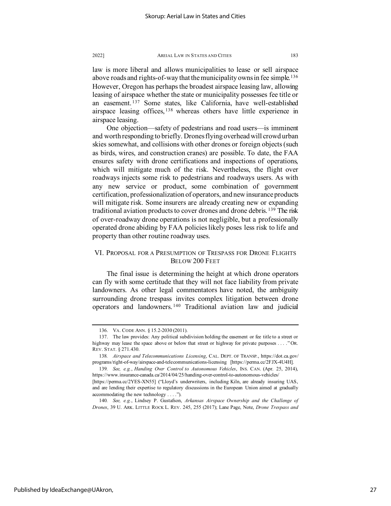law is more liberal and allows municipalities to lease or sell airspace above roads and rights-of-way that the municipality owns in fee simple.<sup>[136](#page-27-0)</sup> However, Oregon has perhaps the broadest airspace leasing law, allowing leasing of airspace whether the state or municipality possesses fee title or an easement. [137](#page-27-1) Some states, like California, have well-established airspace leasing offices, <sup>[138](#page-27-2)</sup> whereas others have little experience in airspace leasing.

One objection—safety of pedestrians and road users—is imminent and worth responding to briefly. Drones flying overhead will crowd urban skies somewhat, and collisions with other drones or foreign objects (such as birds, wires, and construction cranes) are possible. To date, the FAA ensures safety with drone certifications and inspections of operations, which will mitigate much of the risk. Nevertheless, the flight over roadways injects some risk to pedestrians and roadways users. As with any new service or product, some combination of government certification, professionalization of operators, and new insurance products will mitigate risk. Some insurers are already creating new or expanding traditional aviation products to cover drones and drone debris. [139](#page-27-3) The risk of over-roadway drone operations is not negligible, but a professionally operated drone abiding by FAA policies likely poses less risk to life and property than other routine roadway uses.

### VI. PROPOSAL FOR A PRESUMPTION OF TRESPASS FOR DRONE FLIGHTS BELOW 200 FEET

The final issue is determining the height at which drone operators can fly with some certitude that they will not face liability from private landowners. As other legal commentators have noted, the ambiguity surrounding drone trespass invites complex litigation between drone operators and landowners. [140](#page-27-4) Traditional aviation law and judicial

<sup>136.</sup> VA. CODE ANN. § 15.2-2030 (2011).

<span id="page-27-1"></span><span id="page-27-0"></span><sup>137.</sup> The law provides: Any political subdivision holding the easement or fee title to a street or highway may lease the space above or below that street or highway for private purposes . . . ." OR. REV. STAT. § 271.430.

<span id="page-27-2"></span><sup>138</sup>*. Airspace and Telecommunications Licensing*, CAL. DEPT. OF TRANSP., https://dot.ca.gov/ programs/right-of-way/airspace-and-telecommunications-licensing [https://perma.cc/2FJX-4U4H].

<span id="page-27-3"></span><sup>139</sup>*. See, e.g.*, *Handing Over Control to Autonomous Vehicles*, INS. CAN. (Apr. 25, 2014), https://www.insurance-canada.ca/2014/04/25/handing-over-control-to-autonomous-vehicles/

<sup>[</sup>https://perma.cc/2YES-XN55] ("Lloyd's underwriters, including Kiln, are already insuring UAS, and are lending their expertise to regulatory discussions in the European Union aimed at gradually accommodating the new technology . . . .").

<span id="page-27-4"></span><sup>140</sup>*. See, e.g.*, Lindsey P. Gustafson, *Arkansas Airspace Ownership and the Challenge of Drones*, 39 U. ARK. LITTLE ROCK L. REV. 245, 255 (2017); Lane Page, Note, *Drone Trespass and*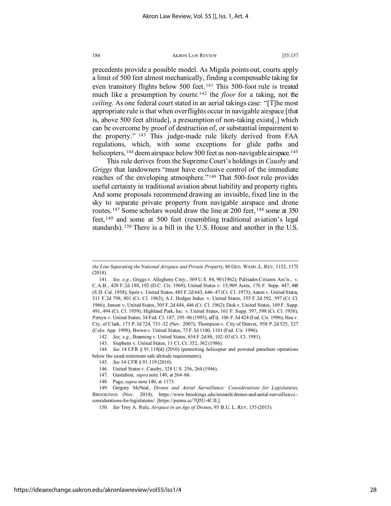precedents provide a possible model. As Migala points out, courts apply a limit of 500 feet almost mechanically, finding a compensable taking for even transitory flights below 500 feet. [141](#page-28-0) This 500-foot rule is treated much like a presumption by courts:[142](#page-28-1) the *floor* for a taking, not the *ceiling*. As one federal court stated in an aerial takings case: "[T]he most appropriate rule is that when overflights occur in navigable airspace [that is, above 500 feet altitude], a presumption of non-taking exists[,] which can be overcome by proof of destruction of, or substantial impairment to the property." [143](#page-28-2) This judge-made rule likely derived from FAA regulations, which, with some exceptions for glide paths and helicopters, <sup>[144](#page-28-3)</sup> deem airspace below 500 feet as non-navigable airspace.<sup>[145](#page-28-4)</sup>

This rule derives from the Supreme Court's holdings in *Causby* and *Griggs* that landowners "must have exclusive control of the immediate reaches of the enveloping atmosphere."[146](#page-28-5) That 500-foot rule provides useful certainty in traditional aviation about liability and property rights. And some proposals recommend drawing an invisible, fixed line in the sky to separate private property from navigable airspace and drone routes.<sup>[147](#page-28-6)</sup> Some scholars would draw the line at 200 feet, <sup>[148](#page-28-7)</sup> some at 350 feet, [149](#page-28-8) and some at 500 feet (resembling traditional aviation's legal standards). [150](#page-28-9) There is a bill in the U.S. House and another in the U.S.

148. Page, *supra* note 140, at 1173.

*the Line Separating the National Airspace and Private Property*, 86 GEO. WASH. L. REV. 1152, 1173 (2018).

<span id="page-28-0"></span><sup>141</sup>*. See, e.g.*, Griggs v. Allegheny Cnty., 369 U.S. 84, 90 (1962); Palisades Citizens Ass'n., v. C.A.B., 420 F.2d 188, 192 (D.C. Cir. 1969); United States v. 15,909 Acres, 176 F. Supp. 447, 448 (S.D. Cal. 1958); Speir v. United States, 485 F.2d 643, 646–47 (Ct. Cl. 1973); Aaron v. United States, 311 F.2d 798, 801 (Ct. Cl. 1963); A.J. Hodges Indus. v. United States, 355 F.2d 592, 597 (Ct. Cl. 1966); Jensen v. United States, 305 F.2d 444, 446 (Ct. Cl. 1962); Dick v. United States, 169 F. Supp. 491, 494 (Ct. Cl. 1959); Highland Park, Inc. v. United States, 161 F. Supp. 597, 598 (Ct. Cl. 1958); Persyn v. United States, 34 Fed. Cl. 187, 195–96 (1995), aff'd, 106 F.3d 424 (Fed. Cir. 1996); Hsu v. Cty. of Clark, 173 P.3d 724, 731–32 (Nev. 2007); Thompson v. City of Denver, 958 P.2d 525, 527 (Colo. App. 1998); Brown v. United States, 73 F.3d 1100, 1101 (Fed. Cir. 1996).

<sup>142</sup>*. See, e.g.*, Branning v. United States, 654 F.2d 88, 102–03 (Ct. Cl. 1981).

<sup>143.</sup> Stephens v. United States, 11 Cl. Ct. 352, 362 (1986).

<span id="page-28-5"></span><span id="page-28-4"></span><span id="page-28-3"></span><span id="page-28-2"></span><span id="page-28-1"></span><sup>144</sup>*. See* 14 CFR § 91.119(d) (2010) (permitting helicopter and powered parachute operations below the usual minimum safe altitude requirements).

<sup>145</sup>*. See* 14 CFR § 91.119 (2010).

<sup>146.</sup> United States v. Causby, 328 U.S. 256, 264 (1946).

<sup>147.</sup> Gustafson, *supra* note 140, at 264–66.

<span id="page-28-9"></span><span id="page-28-8"></span><span id="page-28-7"></span><span id="page-28-6"></span><sup>149.</sup> Gregory McNeal, *Drones and Aerial Surveillance: Considerations for Legislatures*, BROOKINGS (Nov. 2014), https://www.brookings.edu/research/drones-and-aerial-surveillance considerations-for-legislatures/ [https://perma.cc/7Q5U-4CJL].

<sup>150</sup>*. See* Troy A. Rule, *Airspace in an Age of Drones*, 95 B.U. L. REV. 155 (2015).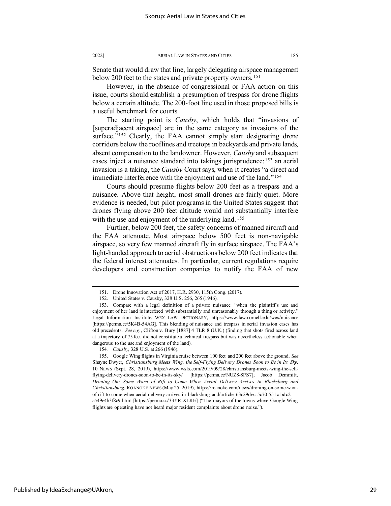Senate that would draw that line, largely delegating airspace management below 200 feet to the states and private property owners.<sup>[151](#page-29-0)</sup>

However, in the absence of congressional or FAA action on this issue, courts should establish a presumption of trespass for drone flights below a certain altitude. The 200-foot line used in those proposed bills is a useful benchmark for courts.

The starting point is *Causby*, which holds that "invasions of [superadjacent airspace] are in the same category as invasions of the surface."<sup>[152](#page-29-1)</sup> Clearly, the FAA cannot simply start designating drone corridors below the rooflines and treetops in backyards and private lands, absent compensation to the landowner. However, *Causby* and subsequent cases inject a nuisance standard into takings jurisprudence:[153](#page-29-2) an aerial invasion is a taking, the *Causby* Court says, when it creates "a direct and immediate interference with the enjoyment and use of the land."<sup>[154](#page-29-3)</sup>

Courts should presume flights below 200 feet as a trespass and a nuisance. Above that height, most small drones are fairly quiet. More evidence is needed, but pilot programs in the United States suggest that drones flying above 200 feet altitude would not substantially interfere with the use and enjoyment of the underlying land.<sup>[155](#page-29-4)</sup>

Further, below 200 feet, the safety concerns of manned aircraft and the FAA attenuate. Most airspace below 500 feet is non-navigable airspace, so very few manned aircraft fly in surface airspace. The FAA's light-handed approach to aerial obstructions below 200 feet indicates that the federal interest attenuates. In particular, current regulations require developers and construction companies to notify the FAA of new

154*. Causby*, 328 U.S. at 266 (1946).

flights are operating have not heard major resident complaints about drone noise.").

<sup>151.</sup> Drone Innovation Act of 2017, H.R. 2930, 115th Cong. (2017).

<sup>152.</sup> United States v. Causby, 328 U.S. 256, 265 (1946).

<span id="page-29-2"></span><span id="page-29-1"></span><span id="page-29-0"></span><sup>153.</sup> Compare with a legal definition of a private nuisance: "when the plaintiff's use and enjoyment of her land is interfered with substantially and unreasonably through a thing or activity." Legal Information Institute, WEX LAW DICTIONARY, https://www.law.cornell.edu/wex/nuisance [https://perma.cc/5K4B-54AG]. This blending of nuisance and trespass in aerial invasion cases has old precedents. *See e.g.*, Clifton v. Bury [1887] 4 TLR 8 (U.K.) (finding that shots fired across land at a trajectory of 75 feet did not constitute a technical trespass but was nevertheless actionable when dangerous to the use and enjoyment of the land).

<span id="page-29-4"></span><span id="page-29-3"></span><sup>155.</sup> Google Wing flights in Virginia cruise between 100 feet and 200 feet above the ground. *See* Shayne Dwyer, *Christiansburg Meets Wing, the Self-Flying Delivery Drones Soon to Be in Its Sky*, 10 NEWS (Sept. 28, 2019), https://www.wsls.com/2019/09/28/christiansburg-meets-wing-the-selfflying-delivery-drones-soon-to-be-in-its-sky/ [https://perma.cc/NUZ8-8PS7]; Jacob Demmitt, *Droning On: Some Warn of Rift to Come When Aerial Delivery Arrives in Blacksburg and Christiansburg*, ROANOKE NEWS (May 25, 2019), https://roanoke.com/news/droning-on-some-warnof-rift-to-come-when-aerial-delivery-arrives-in-blacksburg-and/article\_63c29dec-5c70-551c-bdc2 a549e4b3f8c9.html [https://perma.cc/33YR-XLRE] ("The mayors of the towns where Google Wing